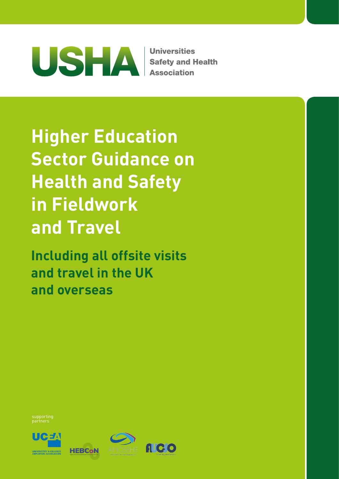

**Universities Safety and Health Association** 

**Higher Education Sector Guidance on Health and Safety in Fieldwork and Travel**

**Including all offsite visits and travel in the UK and overseas**

supporting partners





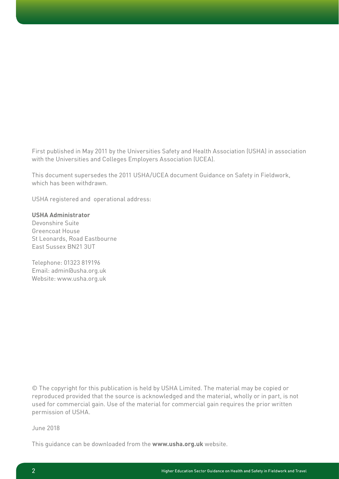First published in May 2011 by the Universities Safety and Health Association (USHA) in association with the Universities and Colleges Employers Association (UCEA).

This document supersedes the 2011 USHA/UCEA document Guidance on Safety in Fieldwork, which has been withdrawn.

USHA registered and operational address:

## **USHA Administrator**

Devonshire Suite Greencoat House St Leonards, Road Eastbourne East Sussex BN21 3UT

Telephone: 01323 819196 Email: admin@usha.org.uk Website: www.usha.org.uk

© The copyright for this publication is held by USHA Limited. The material may be copied or reproduced provided that the source is acknowledged and the material, wholly or in part, is not used for commercial gain. Use of the material for commercial gain requires the prior written permission of USHA.

June 2018

This guidance can be downloaded from the **www.usha.org.uk** website.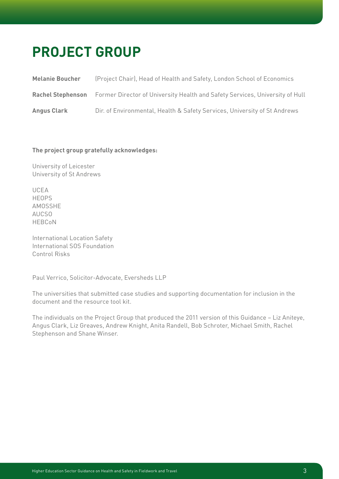# **Project group**

| <b>Melanie Boucher</b>   | (Project Chair), Head of Health and Safety, London School of Economics       |
|--------------------------|------------------------------------------------------------------------------|
| <b>Rachel Stephenson</b> | Former Director of University Health and Safety Services, University of Hull |
| <b>Angus Clark</b>       | Dir. of Environmental, Health & Safety Services, University of St Andrews    |

## **The project group gratefully acknowledges:**

University of Leicester University of St Andrews

UCEA HEOPS AMOSSHE AUCSO HEBCoN

International Location Safety International SOS Foundation Control Risks

Paul Verrico, Solicitor-Advocate, Eversheds LLP

The universities that submitted case studies and supporting documentation for inclusion in the document and the resource tool kit.

The individuals on the Project Group that produced the 2011 version of this Guidance – Liz Aniteye, Angus Clark, Liz Greaves, Andrew Knight, Anita Randell, Bob Schroter, Michael Smith, Rachel Stephenson and Shane Winser.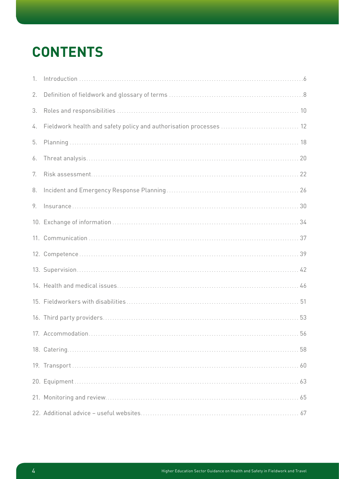# **Contents**

| 2. |  |
|----|--|
| 3. |  |
| 4. |  |
| 5. |  |
| 6. |  |
| 7. |  |
| 8. |  |
| 9. |  |
|    |  |
|    |  |
|    |  |
|    |  |
|    |  |
|    |  |
|    |  |
|    |  |
|    |  |
|    |  |
|    |  |
|    |  |
|    |  |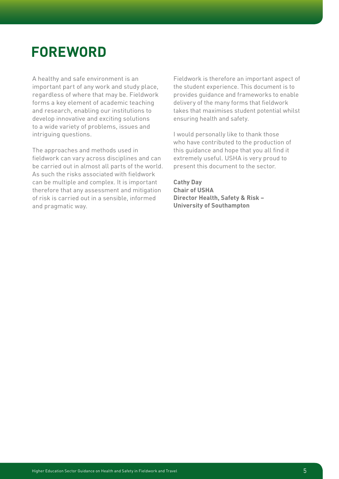# **ForEwOrd**

A healthy and safe environment is an important part of any work and study place, regardless of where that may be. Fieldwork forms a key element of academic teaching and research, enabling our institutions to develop innovative and exciting solutions to a wide variety of problems, issues and intriguing questions.

The approaches and methods used in fieldwork can vary across disciplines and can be carried out in almost all parts of the world. As such the risks associated with fieldwork can be multiple and complex. It is important therefore that any assessment and mitigation of risk is carried out in a sensible, informed and pragmatic way.

Fieldwork is therefore an important aspect of the student experience. This document is to provides guidance and frameworks to enable delivery of the many forms that fieldwork takes that maximises student potential whilst ensuring health and safety.

I would personally like to thank those who have contributed to the production of this guidance and hope that you all find it extremely useful. USHA is very proud to present this document to the sector.

**Cathy Day Chair of USHA Director Health, Safety & Risk – University of Southampton**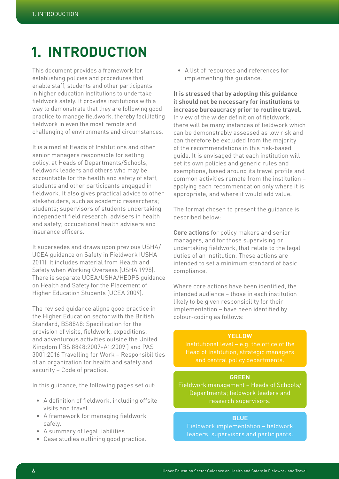# **1. Introduction**

This document provides a framework for establishing policies and procedures that enable staff, students and other participants in higher education institutions to undertake fieldwork safely. It provides institutions with a way to demonstrate that they are following good practice to manage fieldwork, thereby facilitating fieldwork in even the most remote and challenging of environments and circumstances.

It is aimed at Heads of Institutions and other senior managers responsible for setting policy, at Heads of Departments/Schools, fieldwork leaders and others who may be accountable for the health and safety of staff, students and other participants engaged in fieldwork. It also gives practical advice to other stakeholders, such as academic researchers; students; supervisors of students undertaking independent field research; advisers in health and safety; occupational health advisers and insurance officers.

It supersedes and draws upon previous USHA/ UCEA guidance on Safety in Fieldwork (USHA 2011). It includes material from Health and Safety when Working Overseas (USHA 1998). There is separate UCEA/USHA/HEOPS guidance on Health and Safety for the Placement of Higher Education Students (UCEA 2009).

The revised guidance aligns good practice in the Higher Education sector with the British Standard, BS8848: Specification for the provision of visits, fieldwork, expeditions, and adventurous activities outside the United Kingdom ('BS 8848:2007+A1:2009') and PAS 3001:2016 Travelling for Work – Responsibilities of an organization for health and safety and security – Code of practice.

In this guidance, the following pages set out:

- A definition of fieldwork, including offsite visits and travel.
- A framework for managing fieldwork safely.
- A summary of legal liabilities.
- Case studies outlining good practice.

• A list of resources and references for implementing the guidance.

**It is stressed that by adopting this guidance it should not be necessary for institutions to increase bureaucracy prior to routine travel.** In view of the wider definition of fieldwork, there will be many instances of fieldwork which can be demonstrably assessed as low risk and can therefore be excluded from the majority of the recommendations in this risk-based guide. It is envisaged that each institution will set its own policies and generic rules and exemptions, based around its travel profile and common activities remote from the institution – applying each recommendation only where it is appropriate, and where it would add value.

The format chosen to present the guidance is described below:

**Core actions** for policy makers and senior managers, and for those supervising or undertaking fieldwork, that relate to the legal duties of an institution. These actions are intended to set a minimum standard of basic compliance.

Where core actions have been identified, the intended audience – those in each institution likely to be given responsibility for their implementation – have been identified by colour-coding as follows:

## **YELLOW**

Head of Institution, strategic managers

## **GREEN**

Fieldwork management – Heads of Schools/ Departments; fieldwork leaders and research supervisors.

## **BLUE**

Fieldwork implementation – fieldwork leaders, supervisors and participants.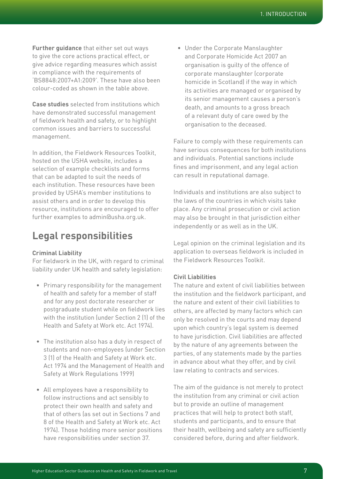**Further guidance** that either set out ways to give the core actions practical effect, or give advice regarding measures which assist in compliance with the requirements of 'BS8848:2007+A1:2009'. These have also been colour-coded as shown in the table above.

**Case studies** selected from institutions which have demonstrated successful management of fieldwork health and safety, or to highlight common issues and barriers to successful management.

In addition, the Fieldwork Resources Toolkit, hosted on the USHA website, includes a selection of example checklists and forms that can be adapted to suit the needs of each institution. These resources have been provided by USHA's member institutions to assist others and in order to develop this resource, institutions are encouraged to offer further examples to admin@usha.org.uk.

## **Legal responsibilities**

## **Criminal Liability**

For fieldwork in the UK, with regard to criminal liability under UK health and safety legislation:

- Primary responsibility for the management of health and safety for a member of staff and for any post doctorate researcher or postgraduate student while on fieldwork lies with the institution (under Section 2 (1) of the Health and Safety at Work etc. Act 1974).
- The institution also has a duty in respect of students and non-employees (under Section 3 (1) of the Health and Safety at Work etc. Act 1974 and the Management of Health and Safety at Work Regulations 1999)
- All employees have a responsibility to follow instructions and act sensibly to protect their own health and safety and that of others (as set out in Sections 7 and 8 of the Health and Safety at Work etc. Act 1974). Those holding more senior positions have responsibilities under section 37.

• Under the Corporate Manslaughter and Corporate Homicide Act 2007 an organisation is guilty of the offence of corporate manslaughter (corporate homicide in Scotland) if the way in which its activities are managed or organised by its senior management causes a person's death, and amounts to a gross breach of a relevant duty of care owed by the organisation to the deceased.

Failure to comply with these requirements can have serious consequences for both institutions and individuals. Potential sanctions include fines and imprisonment, and any legal action can result in reputational damage.

Individuals and institutions are also subject to the laws of the countries in which visits take place. Any criminal prosecution or civil action may also be brought in that jurisdiction either independently or as well as in the UK.

Legal opinion on the criminal legislation and its application to overseas fieldwork is included in the Fieldwork Resources Toolkit.

## **Civil Liabilities**

The nature and extent of civil liabilities between the institution and the fieldwork participant, and the nature and extent of their civil liabilities to others, are affected by many factors which can only be resolved in the courts and may depend upon which country's legal system is deemed to have jurisdiction. Civil liabilities are affected by the nature of any agreements between the parties, of any statements made by the parties in advance about what they offer, and by civil law relating to contracts and services.

The aim of the guidance is not merely to protect the institution from any criminal or civil action but to provide an outline of management practices that will help to protect both staff, students and participants, and to ensure that their health, wellbeing and safety are sufficiently considered before, during and after fieldwork.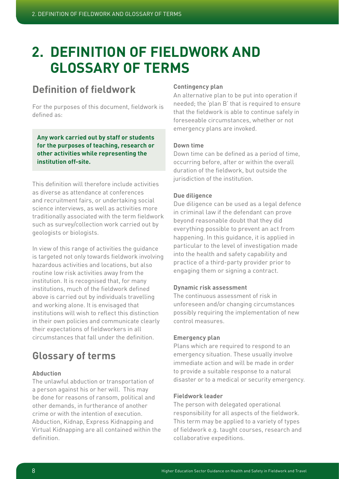# **2. Definition of fieldwork and glossary of terms**

## **Definition of fieldwork**

For the purposes of this document, fieldwork is defined as:

**Any work carried out by staff or students for the purposes of teaching, research or other activities while representing the institution off-site.**

This definition will therefore include activities as diverse as attendance at conferences and recruitment fairs, or undertaking social science interviews, as well as activities more traditionally associated with the term fieldwork such as survey/collection work carried out by geologists or biologists.

In view of this range of activities the guidance is targeted not only towards fieldwork involving hazardous activities and locations, but also routine low risk activities away from the institution. It is recognised that, for many institutions, much of the fieldwork defined above is carried out by individuals travelling and working alone. It is envisaged that institutions will wish to reflect this distinction in their own policies and communicate clearly their expectations of fieldworkers in all circumstances that fall under the definition.

## **Glossary of terms**

## **Abduction**

The unlawful abduction or transportation of a person against his or her will. This may be done for reasons of ransom, political and other demands, in furtherance of another crime or with the intention of execution. Abduction, Kidnap, Express Kidnapping and Virtual Kidnapping are all contained within the definition.

## **Contingency plan**

An alternative plan to be put into operation if needed; the 'plan B' that is required to ensure that the fieldwork is able to continue safely in foreseeable circumstances, whether or not emergency plans are invoked.

## **Down time**

Down time can be defined as a period of time, occurring before, after or within the overall duration of the fieldwork, but outside the jurisdiction of the institution.

## **Due diligence**

Due diligence can be used as a legal defence in criminal law if the defendant can prove beyond reasonable doubt that they did everything possible to prevent an act from happening. In this guidance, it is applied in particular to the level of investigation made into the health and safety capability and practice of a third-party provider prior to engaging them or signing a contract.

## **Dynamic risk assessment**

The continuous assessment of risk in unforeseen and/or changing circumstances possibly requiring the implementation of new control measures.

## **Emergency plan**

Plans which are required to respond to an emergency situation. These usually involve immediate action and will be made in order to provide a suitable response to a natural disaster or to a medical or security emergency.

## **Fieldwork leader**

The person with delegated operational responsibility for all aspects of the fieldwork. This term may be applied to a variety of types of fieldwork e.g. taught courses, research and collaborative expeditions.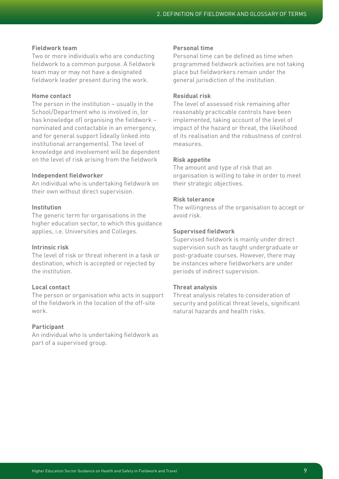## **Fieldwork team**

Two or more individuals who are conducting fieldwork to a common purpose. A fieldwork team may or may not have a designated fieldwork leader present during the work.

## **Home contact**

The person in the institution – usually in the School/Department who is involved in, (or has knowledge of) organising the fieldwork – nominated and contactable in an emergency, and for general support (ideally linked into institutional arrangements). The level of knowledge and involvement will be dependent on the level of risk arising from the fieldwork

### **Independent fieldworker**

An individual who is undertaking fieldwork on their own without direct supervision.

## **Institution**

The generic term for organisations in the higher education sector, to which this guidance applies, i.e. Universities and Colleges.

## **Intrinsic risk**

The level of risk or threat inherent in a task or destination, which is accepted or rejected by the institution.

## **Local contact**

The person or organisation who acts in support of the fieldwork in the location of the off-site work.

## **Participant**

An individual who is undertaking fieldwork as part of a supervised group.

## **Personal time**

Personal time can be defined as time when programmed fieldwork activities are not taking place but fieldworkers remain under the general jurisdiction of the institution.

## **Residual risk**

The level of assessed risk remaining after reasonably practicable controls have been implemented, taking account of the level of impact of the hazard or threat, the likelihood of its realisation and the robustness of control measures.

## **Risk appetite**

The amount and type of risk that an organisation is willing to take in order to meet their strategic objectives.

## **Risk tolerance**

The willingness of the organisation to accept or avoid risk.

## **Supervised fieldwork**

Supervised fieldwork is mainly under direct supervision such as taught undergraduate or post-graduate courses. However, there may be instances where fieldworkers are under periods of indirect supervision.

## **Threat analysis**

Threat analysis relates to consideration of security and political threat levels, significant natural hazards and health risks.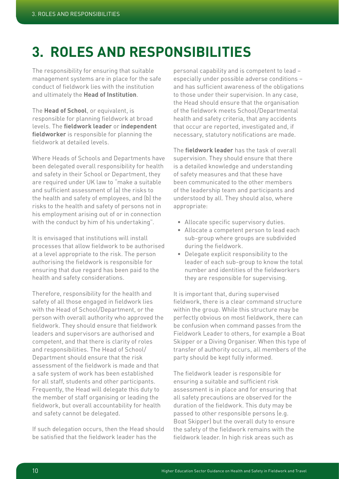# **3. Roles and responsibilities**

The responsibility for ensuring that suitable management systems are in place for the safe conduct of fieldwork lies with the institution and ultimately the **Head of Institution**.

The **Head of School**, or equivalent, is responsible for planning fieldwork at broad levels. The **fieldwork leader** or **independent fieldworker** is responsible for planning the fieldwork at detailed levels.

Where Heads of Schools and Departments have been delegated overall responsibility for health and safety in their School or Department, they are required under UK law to "make a suitable and sufficient assessment of (a) the risks to the health and safety of employees, and (b) the risks to the health and safety of persons not in his employment arising out of or in connection with the conduct by him of his undertaking".

It is envisaged that institutions will install processes that allow fieldwork to be authorised at a level appropriate to the risk. The person authorising the fieldwork is responsible for ensuring that due regard has been paid to the health and safety considerations.

Therefore, responsibility for the health and safety of all those engaged in fieldwork lies with the Head of School/Department, or the person with overall authority who approved the fieldwork. They should ensure that fieldwork leaders and supervisors are authorised and competent, and that there is clarity of roles and responsibilities. The Head of School/ Department should ensure that the risk assessment of the fieldwork is made and that a safe system of work has been established for all staff, students and other participants. Frequently, the Head will delegate this duty to the member of staff organising or leading the fieldwork, but overall accountability for health and safety cannot be delegated.

If such delegation occurs, then the Head should be satisfied that the fieldwork leader has the

personal capability and is competent to lead – especially under possible adverse conditions – and has sufficient awareness of the obligations to those under their supervision. In any case, the Head should ensure that the organisation of the fieldwork meets School/Departmental health and safety criteria, that any accidents that occur are reported, investigated and, if necessary, statutory notifications are made.

The **fieldwork leader** has the task of overall supervision. They should ensure that there is a detailed knowledge and understanding of safety measures and that these have been communicated to the other members of the leadership team and participants and understood by all. They should also, where appropriate:

- Allocate specific supervisory duties.
- Allocate a competent person to lead each sub-group where groups are subdivided during the fieldwork.
- Delegate explicit responsibility to the leader of each sub-group to know the total number and identities of the fieldworkers they are responsible for supervising.

It is important that, during supervised fieldwork, there is a clear command structure within the group. While this structure may be perfectly obvious on most fieldwork, there can be confusion when command passes from the Fieldwork Leader to others, for example a Boat Skipper or a Diving Organiser. When this type of transfer of authority occurs, all members of the party should be kept fully informed.

The fieldwork leader is responsible for ensuring a suitable and sufficient risk assessment is in place and for ensuring that all safety precautions are observed for the duration of the fieldwork. This duty may be passed to other responsible persons (e.g. Boat Skipper) but the overall duty to ensure the safety of the fieldwork remains with the fieldwork leader. In high risk areas such as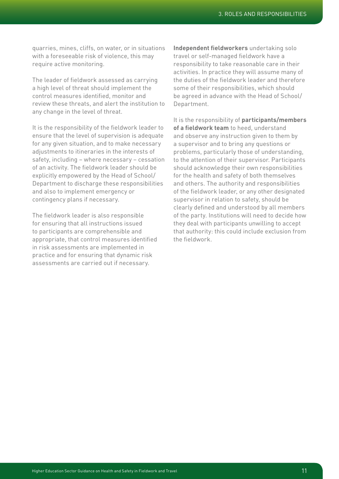quarries, mines, cliffs, on water, or in situations with a foreseeable risk of violence, this may require active monitoring.

The leader of fieldwork assessed as carrying a high level of threat should implement the control measures identified, monitor and review these threats, and alert the institution to any change in the level of threat.

It is the responsibility of the fieldwork leader to ensure that the level of supervision is adequate for any given situation, and to make necessary adjustments to itineraries in the interests of safety, including – where necessary – cessation of an activity. The fieldwork leader should be explicitly empowered by the Head of School/ Department to discharge these responsibilities and also to implement emergency or contingency plans if necessary.

The fieldwork leader is also responsible for ensuring that all instructions issued to participants are comprehensible and appropriate, that control measures identified in risk assessments are implemented in practice and for ensuring that dynamic risk assessments are carried out if necessary.

**Independent fieldworkers** undertaking solo travel or self-managed fieldwork have a responsibility to take reasonable care in their activities. In practice they will assume many of the duties of the fieldwork leader and therefore some of their responsibilities, which should be agreed in advance with the Head of School/ Department.

It is the responsibility of **participants/members of a fieldwork team** to heed, understand and observe any instruction given to them by a supervisor and to bring any questions or problems, particularly those of understanding, to the attention of their supervisor. Participants should acknowledge their own responsibilities for the health and safety of both themselves and others. The authority and responsibilities of the fieldwork leader, or any other designated supervisor in relation to safety, should be clearly defined and understood by all members of the party. Institutions will need to decide how they deal with participants unwilling to accept that authority: this could include exclusion from the fieldwork.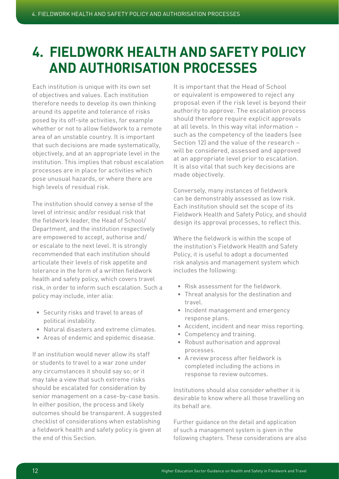# **4. Fieldwork health and safety policy and authorisation processes**

Each institution is unique with its own set of objectives and values. Each institution therefore needs to develop its own thinking around its appetite and tolerance of risks posed by its off-site activities, for example whether or not to allow fieldwork to a remote area of an unstable country. It is important that such decisions are made systematically, objectively, and at an appropriate level in the institution. This implies that robust escalation processes are in place for activities which pose unusual hazards, or where there are high levels of residual risk.

The institution should convey a sense of the level of intrinsic and/or residual risk that the fieldwork leader, the Head of School/ Department, and the institution respectively are empowered to accept, authorise and/ or escalate to the next level. It is strongly recommended that each institution should articulate their levels of risk appetite and tolerance in the form of a written fieldwork health and safety policy, which covers travel risk, in order to inform such escalation. Such a policy may include, inter alia:

- Security risks and travel to areas of political instability.
- Natural disasters and extreme climates.
- Areas of endemic and epidemic disease.

If an institution would never allow its staff or students to travel to a war zone under any circumstances it should say so; or it may take a view that such extreme risks should be escalated for consideration by senior management on a case-by-case basis. In either position, the process and likely outcomes should be transparent. A suggested checklist of considerations when establishing a fieldwork health and safety policy is given at the end of this Section.

It is important that the Head of School or equivalent is empowered to reject any proposal even if the risk level is beyond their authority to approve. The escalation process should therefore require explicit approvals at all levels. In this way vital information – such as the competency of the leaders (see Section 12) and the value of the research – will be considered, assessed and approved at an appropriate level prior to escalation. It is also vital that such key decisions are made objectively.

Conversely, many instances of fieldwork can be demonstrably assessed as low risk. Each institution should set the scope of its Fieldwork Health and Safety Policy, and should design its approval processes, to reflect this.

Where the fieldwork is within the scope of the institution's Fieldwork Health and Safety Policy, it is useful to adopt a documented risk analysis and management system which includes the following:

- Risk assessment for the fieldwork.
- Threat analysis for the destination and travel.
- Incident management and emergency response plans.
- Accident, incident and near miss reporting.
- Competency and training.
- Robust authorisation and approval processes.
- A review process after fieldwork is completed including the actions in response to review outcomes.

Institutions should also consider whether it is desirable to know where all those travelling on its behalf are.

Further guidance on the detail and application of such a management system is given in the following chapters. These considerations are also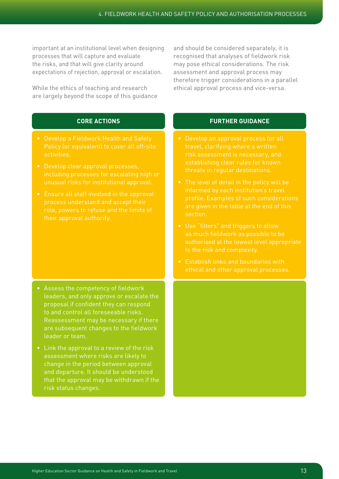important at an institutional level when designing processes that will capture and evaluate the risks, and that will give clarity around expectations of rejection, approval or escalation.

While the ethics of teaching and research are largely beyond the scope of this guidance

and should be considered separately, it is recognised that analyses of fieldwork risk may pose ethical considerations. The risk assessment and approval process may therefore trigger considerations in a parallel ethical approval process and vice-versa.

## **CORE ACTIONS**

- Develop a Fieldwork Health and Safety activities.
- Develop clear approval processes, including processes for escalating high or
- role, powers to refuse and the limits of

- Assess the competency of fieldwork leaders, and only approve or escalate the proposal if confident they can respond to and control all foreseeable risks. Reassessment may be necessary if there are subsequent changes to the fieldwork leader or team.
- Link the approval to a review of the risk assessment where risks are likely to change in the period between approval and departure. It should be understood that the approval may be withdrawn if the risk status changes.

- risk assessment is necessary, and establishing clear rules for known
- The level of detail in the policy will be profile. Examples of such considerations are given in the table at the end of this section.
- as much fieldwork as possible to be to the risk and complexity.
- Establish links and boundaries with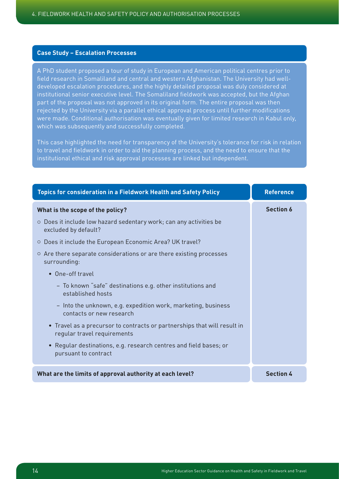## **Case Study – Escalation Processes**

A PhD student proposed a tour of study in European and American political centres prior to field research in Somaliland and central and western Afghanistan. The University had welldeveloped escalation procedures, and the highly detailed proposal was duly considered at institutional senior executive level. The Somaliland fieldwork was accepted, but the Afghan part of the proposal was not approved in its original form. The entire proposal was then rejected by the University via a parallel ethical approval process until further modifications were made. Conditional authorisation was eventually given for limited research in Kabul only, which was subsequently and successfully completed.

This case highlighted the need for transparency of the University's tolerance for risk in relation to travel and fieldwork in order to aid the planning process, and the need to ensure that the institutional ethical and risk approval processes are linked but independent.

| Topics for consideration in a Fieldwork Health and Safety Policy                                        | <b>Reference</b> |
|---------------------------------------------------------------------------------------------------------|------------------|
| What is the scope of the policy?                                                                        | <b>Section 6</b> |
| $\circ$ Does it include low hazard sedentary work; can any activities be<br>excluded by default?        |                  |
| ○ Does it include the European Economic Area? UK travel?                                                |                  |
| ○ Are there separate considerations or are there existing processes<br>surrounding:                     |                  |
| • One-off travel                                                                                        |                  |
| - To known "safe" destinations e.g. other institutions and<br>established hosts                         |                  |
| - Into the unknown, e.g. expedition work, marketing, business<br>contacts or new research               |                  |
| • Travel as a precursor to contracts or partnerships that will result in<br>regular travel requirements |                  |
| Regular destinations, e.g. research centres and field bases; or<br>$\bullet$<br>pursuant to contract    |                  |
| What are the limits of approval authority at each level?                                                | <b>Section 4</b> |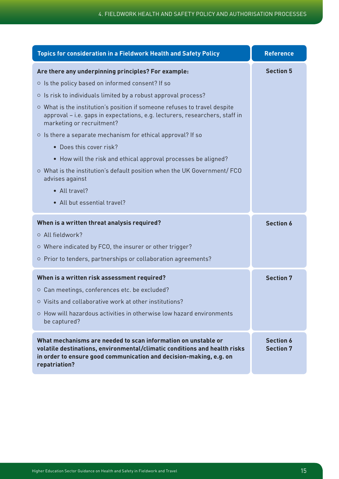| <b>Topics for consideration in a Fieldwork Health and Safety Policy</b>                                                                                                                                                           | <b>Reference</b>                     |
|-----------------------------------------------------------------------------------------------------------------------------------------------------------------------------------------------------------------------------------|--------------------------------------|
| Are there any underpinning principles? For example:                                                                                                                                                                               | <b>Section 5</b>                     |
| ○ Is the policy based on informed consent? If so                                                                                                                                                                                  |                                      |
| ○ Is risk to individuals limited by a robust approval process?                                                                                                                                                                    |                                      |
| ○ What is the institution's position if someone refuses to travel despite<br>approval - i.e. gaps in expectations, e.g. lecturers, researchers, staff in<br>marketing or recruitment?                                             |                                      |
| o Is there a separate mechanism for ethical approval? If so                                                                                                                                                                       |                                      |
| • Does this cover risk?                                                                                                                                                                                                           |                                      |
| • How will the risk and ethical approval processes be aligned?                                                                                                                                                                    |                                      |
| ○ What is the institution's default position when the UK Government/ FCO<br>advises against                                                                                                                                       |                                      |
| • All travel?                                                                                                                                                                                                                     |                                      |
| • All but essential travel?                                                                                                                                                                                                       |                                      |
| When is a written threat analysis required?                                                                                                                                                                                       | <b>Section 6</b>                     |
| O All fieldwork?                                                                                                                                                                                                                  |                                      |
| ○ Where indicated by FCO, the insurer or other trigger?                                                                                                                                                                           |                                      |
| ○ Prior to tenders, partnerships or collaboration agreements?                                                                                                                                                                     |                                      |
| When is a written risk assessment required?                                                                                                                                                                                       | <b>Section 7</b>                     |
| ○ Can meetings, conferences etc. be excluded?                                                                                                                                                                                     |                                      |
| ○ Visits and collaborative work at other institutions?                                                                                                                                                                            |                                      |
| ○ How will hazardous activities in otherwise low hazard environments                                                                                                                                                              |                                      |
| be captured?                                                                                                                                                                                                                      |                                      |
| What mechanisms are needed to scan information on unstable or<br>volatile destinations, environmental/climatic conditions and health risks<br>in order to ensure good communication and decision-making, e.g. on<br>repatriation? | <b>Section 6</b><br><b>Section 7</b> |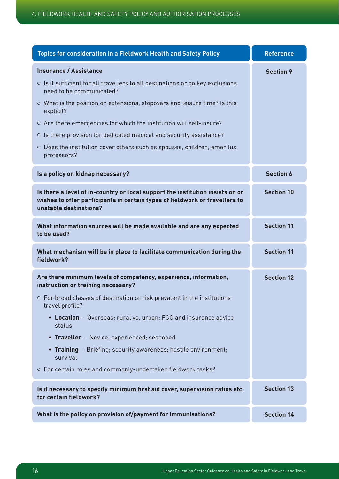| <b>Topics for consideration in a Fieldwork Health and Safety Policy</b>                                                                                                                | <b>Reference</b>  |
|----------------------------------------------------------------------------------------------------------------------------------------------------------------------------------------|-------------------|
| <b>Insurance / Assistance</b>                                                                                                                                                          | <b>Section 9</b>  |
| o Is it sufficient for all travellers to all destinations or do key exclusions<br>need to be communicated?                                                                             |                   |
| ○ What is the position on extensions, stopovers and leisure time? Is this<br>explicit?                                                                                                 |                   |
| ○ Are there emergencies for which the institution will self-insure?                                                                                                                    |                   |
| o Is there provision for dedicated medical and security assistance?                                                                                                                    |                   |
| O Does the institution cover others such as spouses, children, emeritus<br>professors?                                                                                                 |                   |
| Is a policy on kidnap necessary?                                                                                                                                                       | <b>Section 6</b>  |
| Is there a level of in-country or local support the institution insists on or<br>wishes to offer participants in certain types of fieldwork or travellers to<br>unstable destinations? | <b>Section 10</b> |
| What information sources will be made available and are any expected<br>to be used?                                                                                                    | <b>Section 11</b> |
| What mechanism will be in place to facilitate communication during the<br>fieldwork?                                                                                                   | <b>Section 11</b> |
| Are there minimum levels of competency, experience, information,<br>instruction or training necessary?                                                                                 | <b>Section 12</b> |
| ○ For broad classes of destination or risk prevalent in the institutions<br>travel profile?                                                                                            |                   |
| • Location - Overseas; rural vs. urban; FCO and insurance advice<br>status                                                                                                             |                   |
| • Traveller - Novice; experienced; seasoned                                                                                                                                            |                   |
| • Training - Briefing; security awareness; hostile environment;<br>survival                                                                                                            |                   |
| o For certain roles and commonly-undertaken fieldwork tasks?                                                                                                                           |                   |
| Is it necessary to specify minimum first aid cover, supervision ratios etc.<br>for certain fieldwork?                                                                                  | <b>Section 13</b> |
| What is the policy on provision of/payment for immunisations?                                                                                                                          | <b>Section 14</b> |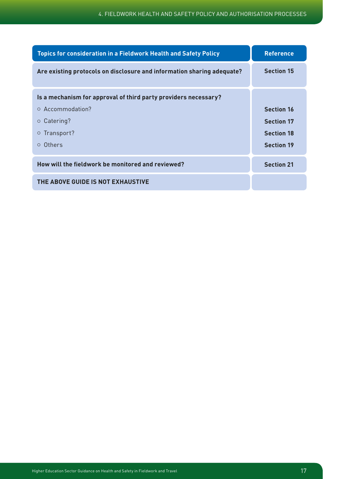| <b>Topics for consideration in a Fieldwork Health and Safety Policy</b> | <b>Reference</b>  |
|-------------------------------------------------------------------------|-------------------|
| Are existing protocols on disclosure and information sharing adequate?  | <b>Section 15</b> |
| Is a mechanism for approval of third party providers necessary?         |                   |
| ○ Accommodation?                                                        | <b>Section 16</b> |
| $\circ$ Catering?                                                       | <b>Section 17</b> |
| ○ Transport?                                                            | <b>Section 18</b> |
| o Others                                                                | <b>Section 19</b> |
| How will the fieldwork be monitored and reviewed?                       | <b>Section 21</b> |
| THE ABOVE GUIDE IS NOT EXHAUSTIVE                                       |                   |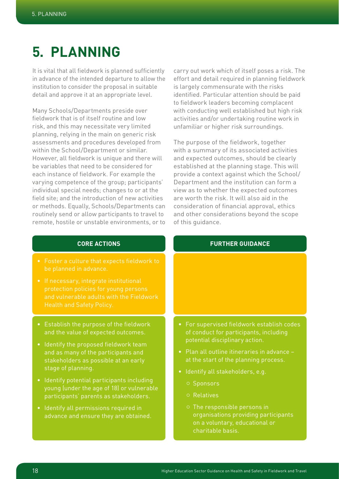# **5. Planning**

It is vital that all fieldwork is planned sufficiently in advance of the intended departure to allow the institution to consider the proposal in suitable detail and approve it at an appropriate level.

Many Schools/Departments preside over fieldwork that is of itself routine and low risk, and this may necessitate very limited planning, relying in the main on generic risk assessments and procedures developed from within the School/Department or similar. However, all fieldwork is unique and there will be variables that need to be considered for each instance of fieldwork. For example the varying competence of the group; participants' individual special needs; changes to or at the field site; and the introduction of new activities or methods. Equally, Schools/Departments can routinely send or allow participants to travel to remote, hostile or unstable environments, or to

carry out work which of itself poses a risk. The effort and detail required in planning fieldwork is largely commensurate with the risks identified. Particular attention should be paid to fieldwork leaders becoming complacent with conducting well established but high risk activities and/or undertaking routine work in unfamiliar or higher risk surroundings.

The purpose of the fieldwork, together with a summary of its associated activities and expected outcomes, should be clearly established at the planning stage. This will provide a context against which the School/ Department and the institution can form a view as to whether the expected outcomes are worth the risk. It will also aid in the consideration of financial approval, ethics and other considerations beyond the scope of this guidance.

## **CORE ACTIONS**

- Foster a culture that expects fieldwork to
- If necessary, integrate institutional protection policies for young persons and vulnerable adults with the Fieldwork Health and Safety Policy.
- Establish the purpose of the fieldwork and the value of expected outcomes.
- Identify the proposed fieldwork team and as many of the participants and stakeholders as possible at an early stage of planning.
- Identify potential participants including young (under the age of 18) or vulnerable participants' parents as stakeholders.
- Identify all permissions required in advance and ensure they are obtained.

- For supervised fieldwork establish codes of conduct for participants, including potential disciplinary action.
- Plan all outline itineraries in advance at the start of the planning process.
- Identify all stakeholders, e.g.
	-
	- ¡ Relatives
	- ¡ The responsible persons in organisations providing participants on a voluntary, educational or charitable basis.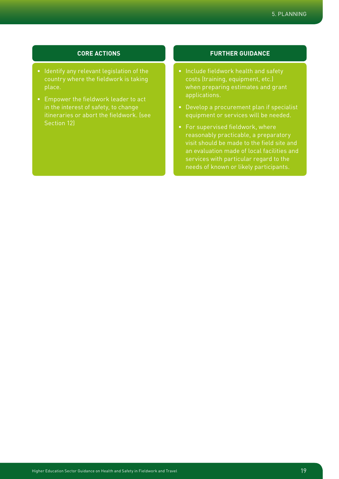## 5. PLANNING

## **CORE ACTIONS**

- Identify any relevant legislation of the country where the fieldwork is taking place.
- Empower the fieldwork leader to act in the interest of safety, to change itineraries or abort the fieldwork. (see Section 12)

- Include fieldwork health and safety costs (training, equipment, etc.) when preparing estimates and grant applications.
- Develop a procurement plan if specialist equipment or services will be needed.
- For supervised fieldwork, where reasonably practicable, a preparatory visit should be made to the field site and an evaluation made of local facilities and services with particular regard to the needs of known or likely participants.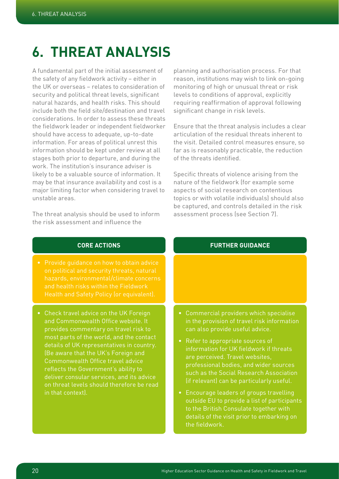# **6. Threat analysis**

A fundamental part of the initial assessment of the safety of any fieldwork activity – either in the UK or overseas – relates to consideration of security and political threat levels, significant natural hazards, and health risks. This should include both the field site/destination and travel considerations. In order to assess these threats the fieldwork leader or independent fieldworker should have access to adequate, up-to-date information. For areas of political unrest this information should be kept under review at all stages both prior to departure, and during the work. The institution's insurance adviser is likely to be a valuable source of information. It may be that insurance availability and cost is a major limiting factor when considering travel to unstable areas.

The threat analysis should be used to inform the risk assessment and influence the

planning and authorisation process. For that reason, institutions may wish to link on-going monitoring of high or unusual threat or risk levels to conditions of approval, explicitly requiring reaffirmation of approval following significant change in risk levels.

Ensure that the threat analysis includes a clear articulation of the residual threats inherent to the visit. Detailed control measures ensure, so far as is reasonably practicable, the reduction of the threats identified.

Specific threats of violence arising from the nature of the fieldwork (for example some aspects of social research on contentious topics or with volatile individuals) should also be captured, and controls detailed in the risk assessment process (see Section 7).

## **CORE ACTIONS**

- hazards, environmental/climate concerns and health risks within the Fieldwork
- Check travel advice on the UK Foreign and Commonwealth Office website. It provides commentary on travel risk to most parts of the world, and the contact details of UK representatives in country. (Be aware that the UK's Foreign and Commonwealth Office travel advice reflects the Government's ability to deliver consular services, and its advice on threat levels should therefore be read in that context).

- Commercial providers which specialise in the provision of travel risk information can also provide useful advice.
- Refer to appropriate sources of information for UK fieldwork if threats are perceived. Travel websites, professional bodies, and wider sources such as the Social Research Association (if relevant) can be particularly useful.
- Encourage leaders of groups travelling outside EU to provide a list of participants to the British Consulate together with details of the visit prior to embarking on the fieldwork.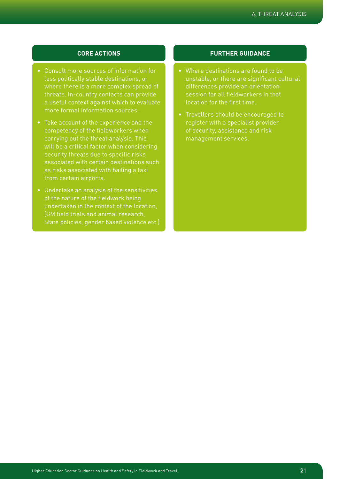## 6. Threat Analysis

## **CORE ACTIONS**

- Consult more sources of information for less politically stable destinations, or where there is a more complex spread of threats. In-country contacts can provide a useful context against which to evaluate more formal information sources.
- Take account of the experience and the competency of the fieldworkers when carrying out the threat analysis. This will be a critical factor when considering security threats due to specific risks associated with certain destinations such from certain airports.
- Undertake an analysis of the sensitivities of the nature of the fieldwork being undertaken in the context of the location, (GM field trials and animal research, State policies, gender based violence etc.)

- Where destinations are found to be unstable, or there are significant cultural differences provide an orientation session for all fieldworkers in that location for the first time.
- Travellers should be encouraged to register with a specialist provider of security, assistance and risk management services.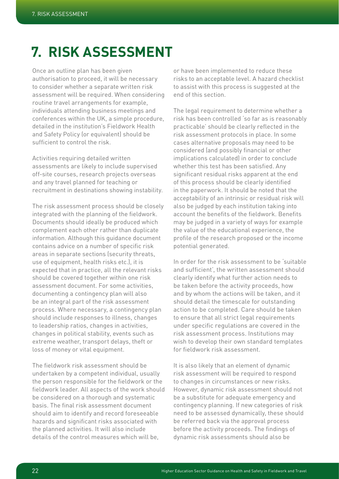# **7. Risk assessment**

Once an outline plan has been given authorisation to proceed, it will be necessary to consider whether a separate written risk assessment will be required. When considering routine travel arrangements for example, individuals attending business meetings and conferences within the UK, a simple procedure, detailed in the institution's Fieldwork Health and Safety Policy (or equivalent) should be sufficient to control the risk.

Activities requiring detailed written assessments are likely to include supervised off-site courses, research projects overseas and any travel planned for teaching or recruitment in destinations showing instability.

The risk assessment process should be closely integrated with the planning of the fieldwork. Documents should ideally be produced which complement each other rather than duplicate information. Although this guidance document contains advice on a number of specific risk areas in separate sections (security threats, use of equipment, health risks etc.), it is expected that in practice, all the relevant risks should be covered together within one risk assessment document. For some activities, documenting a contingency plan will also be an integral part of the risk assessment process. Where necessary, a contingency plan should include responses to illness, changes to leadership ratios, changes in activities, changes in political stability, events such as extreme weather, transport delays, theft or loss of money or vital equipment.

The fieldwork risk assessment should be undertaken by a competent individual, usually the person responsible for the fieldwork or the fieldwork leader. All aspects of the work should be considered on a thorough and systematic basis. The final risk assessment document should aim to identify and record foreseeable hazards and significant risks associated with the planned activities. It will also include details of the control measures which will be,

or have been implemented to reduce these risks to an acceptable level. A hazard checklist to assist with this process is suggested at the end of this section.

The legal requirement to determine whether a risk has been controlled 'so far as is reasonably practicable' should be clearly reflected in the risk assessment protocols in place. In some cases alternative proposals may need to be considered (and possibly financial or other implications calculated) in order to conclude whether this test has been satisfied. Any significant residual risks apparent at the end of this process should be clearly identified in the paperwork. It should be noted that the acceptability of an intrinsic or residual risk will also be judged by each institution taking into account the benefits of the fieldwork. Benefits may be judged in a variety of ways for example the value of the educational experience, the profile of the research proposed or the income potential generated.

In order for the risk assessment to be 'suitable and sufficient', the written assessment should clearly identify what further action needs to be taken before the activity proceeds, how and by whom the actions will be taken, and it should detail the timescale for outstanding action to be completed. Care should be taken to ensure that all strict legal requirements under specific regulations are covered in the risk assessment process. Institutions may wish to develop their own standard templates for fieldwork risk assessment.

It is also likely that an element of dynamic risk assessment will be required to respond to changes in circumstances or new risks. However, dynamic risk assessment should not be a substitute for adequate emergency and contingency planning. If new categories of risk need to be assessed dynamically, these should be referred back via the approval process before the activity proceeds. The findings of dynamic risk assessments should also be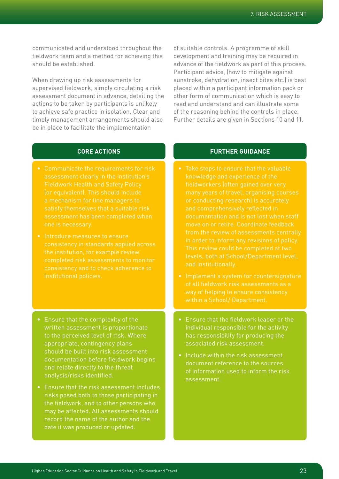communicated and understood throughout the fieldwork team and a method for achieving this should be established.

When drawing up risk assessments for supervised fieldwork, simply circulating a risk assessment document in advance, detailing the actions to be taken by participants is unlikely to achieve safe practice in isolation. Clear and timely management arrangements should also be in place to facilitate the implementation

of suitable controls. A programme of skill development and training may be required in advance of the fieldwork as part of this process. Participant advice, (how to mitigate against sunstroke, dehydration, insect bites etc.) is best placed within a participant information pack or other form of communication which is easy to read and understand and can illustrate some of the reasoning behind the controls in place. Further details are given in Sections 10 and 11.

## **CORE ACTIONS**

- Communicate the requirements for risk assessment clearly in the institution's Fieldwork Health and Safety Policy (or equivalent). This should include satisfy themselves that a suitable risk assessment has been completed when
- Introduce measures to ensure consistency in standards applied across the institution, for example review completed risk assessments to monitor consistency and to check adherence to
- Ensure that the complexity of the written assessment is proportionate to the perceived level of risk. Where appropriate, contingency plans should be built into risk assessment documentation before fieldwork begins and relate directly to the threat analysis/risks identified.
- Ensure that the risk assessment includes risks posed both to those participating in the fieldwork, and to other persons who may be affected. All assessments should record the name of the author and the date it was produced or updated.

- Take steps to ensure that the valuable knowledge and experience of the fieldworkers (often gained over very and comprehensively reflected in documentation and is not lost when staff from the review of assessments centrally in order to inform any revisions of policy. This review could be completed at two levels, both at School/Department level,
- Implement a system for countersignature of all fieldwork risk assessments as a way of helping to ensure consistency
- Ensure that the fieldwork leader or the individual responsible for the activity has responsibility for producing the associated risk assessment.
- Include within the risk assessment document reference to the sources of information used to inform the risk assessment.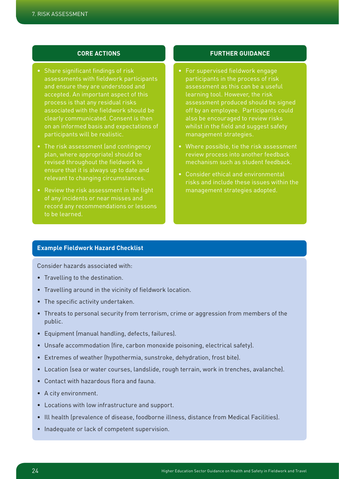## **CORE ACTIONS**

- Share significant findings of risk assessments with fieldwork participants and ensure they are understood and accepted. An important aspect of this process is that any residual risks associated with the fieldwork should be clearly communicated. Consent is then on an informed basis and expectations of participants will be realistic.
- The risk assessment (and contingency plan, where appropriate) should be revised throughout the fieldwork to ensure that it is always up to date and relevant to changing circumstances.
- Review the risk assessment in the light of any incidents or near misses and to be learned.

## **FURTHER GUIDANCE**

- For supervised fieldwork engage participants in the process of risk assessment as this can be a useful learning tool. However, the risk assessment produced should be signed off by an employee. Participants could also be encouraged to review risks whilst in the field and suggest safety management strategies.
- Where possible, tie the risk assessment review process into another feedback mechanism such as student feedback.
- Consider ethical and environmental risks and include these issues within the management strategies adopted.

## **Example Fieldwork Hazard Checklist**

Consider hazards associated with:

- Travelling to the destination.
- Travelling around in the vicinity of fieldwork location.
- The specific activity undertaken.
- Threats to personal security from terrorism, crime or aggression from members of the public.
- Equipment (manual handling, defects, failures).
- Unsafe accommodation (fire, carbon monoxide poisoning, electrical safety).
- Extremes of weather (hypothermia, sunstroke, dehydration, frost bite).
- Location (sea or water courses, landslide, rough terrain, work in trenches, avalanche).
- Contact with hazardous flora and fauna.
- A city environment.
- Locations with low infrastructure and support.
- Ill health (prevalence of disease, foodborne illness, distance from Medical Facilities).
- Inadequate or lack of competent supervision.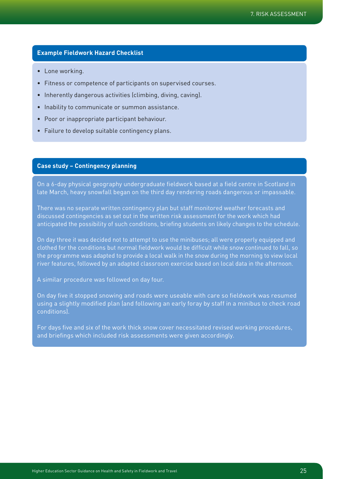## **Example Fieldwork Hazard Checklist**

- Lone working.
- Fitness or competence of participants on supervised courses.
- Inherently dangerous activities (climbing, diving, caving).
- Inability to communicate or summon assistance.
- Poor or inappropriate participant behaviour.
- Failure to develop suitable contingency plans.

## **Case study – Contingency planning**

On a 6-day physical geography undergraduate fieldwork based at a field centre in Scotland in late March, heavy snowfall began on the third day rendering roads dangerous or impassable.

There was no separate written contingency plan but staff monitored weather forecasts and discussed contingencies as set out in the written risk assessment for the work which had anticipated the possibility of such conditions, briefing students on likely changes to the schedule.

On day three it was decided not to attempt to use the minibuses; all were properly equipped and clothed for the conditions but normal fieldwork would be difficult while snow continued to fall, so the programme was adapted to provide a local walk in the snow during the morning to view local river features, followed by an adapted classroom exercise based on local data in the afternoon.

A similar procedure was followed on day four.

On day five it stopped snowing and roads were useable with care so fieldwork was resumed using a slightly modified plan (and following an early foray by staff in a minibus to check road conditions).

For days five and six of the work thick snow cover necessitated revised working procedures, and briefings which included risk assessments were given accordingly.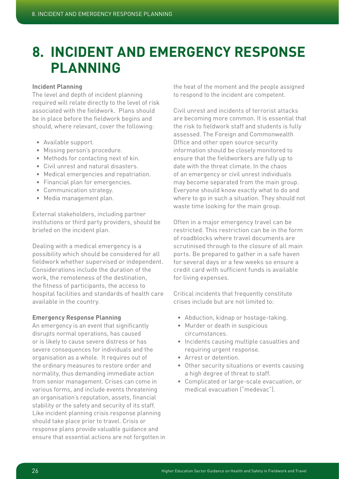# **8. Incident and Emergency Response Planning**

## **Incident Planning**

The level and depth of incident planning required will relate directly to the level of risk associated with the fieldwork. Plans should be in place before the fieldwork begins and should, where relevant, cover the following:

- Available support.
- Missing person's procedure.
- Methods for contacting next of kin.
- Civil unrest and natural disasters.
- Medical emergencies and repatriation.
- Financial plan for emergencies.
- Communication strategy.
- Media management plan.

External stakeholders, including partner institutions or third party providers, should be briefed on the incident plan.

Dealing with a medical emergency is a possibility which should be considered for all fieldwork whether supervised or independent. Considerations include the duration of the work, the remoteness of the destination, the fitness of participants, the access to hospital facilities and standards of health care available in the country.

## **Emergency Response Planning**

An emergency is an event that significantly disrupts normal operations, has caused or is likely to cause severe distress or has severe consequences for individuals and the organisation as a whole. It requires out of the ordinary measures to restore order and normality, thus demanding immediate action from senior management. Crises can come in various forms, and include events threatening an organisation's reputation, assets, financial stability or the safety and security of its staff. Like incident planning crisis response planning should take place prior to travel. Crisis or response plans provide valuable guidance and ensure that essential actions are not forgotten in the heat of the moment and the people assigned to respond to the incident are competent.

Civil unrest and incidents of terrorist attacks are becoming more common. It is essential that the risk to fieldwork staff and students is fully assessed. The Foreign and Commonwealth Office and other open source security information should be closely monitored to ensure that the fieldworkers are fully up to date with the threat climate. In the chaos of an emergency or civil unrest individuals may become separated from the main group. Everyone should know exactly what to do and where to go in such a situation. They should not waste time looking for the main group.

Often in a major emergency travel can be restricted. This restriction can be in the form of roadblocks where travel documents are scrutinised through to the closure of all main ports. Be prepared to gather in a safe haven for several days or a few weeks so ensure a credit card with sufficient funds is available for living expenses.

Critical incidents that frequently constitute crises include but are not limited to:

- Abduction, kidnap or hostage-taking.
- Murder or death in suspicious circumstances.
- Incidents causing multiple casualties and requiring urgent response.
- Arrest or detention.
- Other security situations or events causing a high degree of threat to staff.
- Complicated or large-scale evacuation, or medical evacuation ("medevac").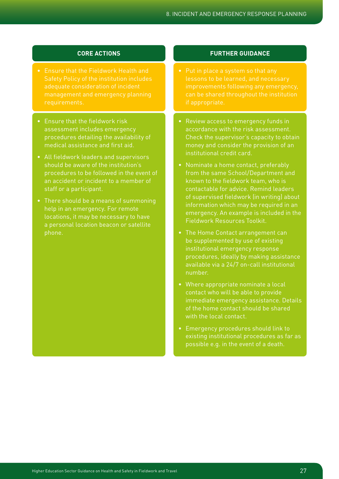## **CORE ACTIONS**

- Ensure that the Fieldwork Health and Safety Policy of the institution includes adequate consideration of incident
- Ensure that the fieldwork risk assessment includes emergency procedures detailing the availability of medical assistance and first aid.
- All fieldwork leaders and supervisors should be aware of the institution's procedures to be followed in the event of an accident or incident to a member of staff or a participant.
- There should be a means of summoning help in an emergency. For remote locations, it may be necessary to have a personal location beacon or satellite phone.

- lessons to be learned, and necessary improvements following any emergency,
- Review access to emergency funds in accordance with the risk assessment. Check the supervisor's capacity to obtain money and consider the provision of an institutional credit card.
- Nominate a home contact, preferably from the same School/Department and known to the fieldwork team, who is contactable for advice. Remind leaders of supervised fieldwork (in writing) about information which may be required in an emergency. An example is included in the Fieldwork Resources Toolkit.
- The Home Contact arrangement can be supplemented by use of existing institutional emergency response procedures, ideally by making assistance available via a 24/7 on-call institutional number.
- Where appropriate nominate a local contact who will be able to provide immediate emergency assistance. Details of the home contact should be shared with the local contact.
- Emergency procedures should link to existing institutional procedures as far as possible e.g. in the event of a death.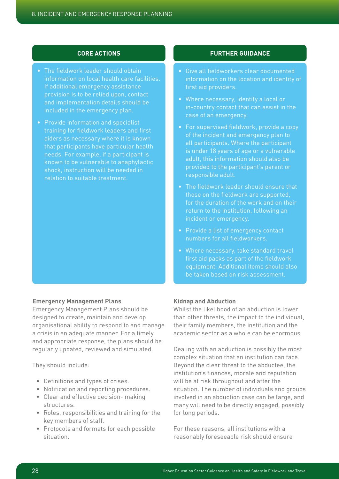## **CORE ACTIONS**

- The fieldwork leader should obtain information on local health care facilities. If additional emergency assistance provision is to be relied upon, contact, and implementation details should be included in the emergency plan.
- Provide information and specialist training for fieldwork leaders and first aiders as necessary where it is known that participants have particular health needs. For example, if a participant is known to be vulnerable to anaphylactic shock, instruction will be needed in relation to suitable treatment.

## **Emergency Management Plans**

Emergency Management Plans should be designed to create, maintain and develop organisational ability to respond to and manage a crisis in an adequate manner. For a timely and appropriate response, the plans should be regularly updated, reviewed and simulated.

They should include:

- Definitions and types of crises.
- Notification and reporting procedures.
- Clear and effective decision- making structures.
- Roles, responsibilities and training for the key members of staff.
- Protocols and formats for each possible situation.

## **FURTHER GUIDANCE**

- Give all fieldworkers clear documented information on the location and identity of
- Where necessary, identify a local or case of an emergency.
- For supervised fieldwork, provide a copy of the incident and emergency plan to all participants. Where the participant is under 18 years of age or a vulnerable adult, this information should also be responsible adult.
- The fieldwork leader should ensure that those on the fieldwork are supported, for the duration of the work and on their return to the institution, following an incident or emergency.
- Provide a list of emergency contact numbers for all fieldworkers.
- Where necessary, take standard travel first aid packs as part of the fieldwork equipment. Additional items should also be taken based on risk assessment.

## **Kidnap and Abduction**

Whilst the likelihood of an abduction is lower than other threats, the impact to the individual, their family members, the institution and the academic sector as a whole can be enormous.

Dealing with an abduction is possibly the most complex situation that an institution can face. Beyond the clear threat to the abductee, the institution's finances, morale and reputation will be at risk throughout and after the situation. The number of individuals and groups involved in an abduction case can be large, and many will need to be directly engaged, possibly for long periods.

For these reasons, all institutions with a reasonably foreseeable risk should ensure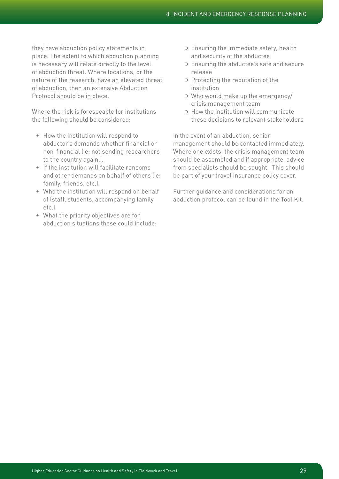they have abduction policy statements in place. The extent to which abduction planning is necessary will relate directly to the level of abduction threat. Where locations, or the nature of the research, have an elevated threat of abduction, then an extensive Abduction Protocol should be in place.

Where the risk is foreseeable for institutions the following should be considered:

- How the institution will respond to abductor's demands whether financial or non-financial (ie: not sending researchers to the country again.).
- If the institution will facilitate ransoms and other demands on behalf of others (ie: family, friends, etc.).
- Who the institution will respond on behalf of (staff, students, accompanying family etc.).
- What the priority objectives are for abduction situations these could include:
- o Ensuring the immediate safety, health and security of the abductee
- ¡ Ensuring the abductee's safe and secure release
- ¡ Protecting the reputation of the institution
- o Who would make up the emergency/ crisis management team
- ¡ How the institution will communicate these decisions to relevant stakeholders

In the event of an abduction, senior management should be contacted immediately. Where one exists, the crisis management team should be assembled and if appropriate, advice from specialists should be sought. This should be part of your travel insurance policy cover.

Further guidance and considerations for an abduction protocol can be found in the Tool Kit.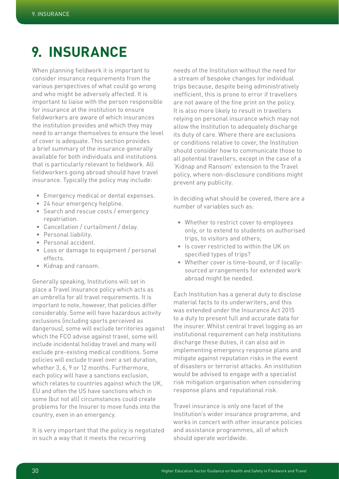# **9. Insurance**

When planning fieldwork it is important to consider insurance requirements from the various perspectives of what could go wrong and who might be adversely affected. It is important to liaise with the person responsible for insurance at the institution to ensure fieldworkers are aware of which insurances the institution provides and which they may need to arrange themselves to ensure the level of cover is adequate. This section provides a brief summary of the insurance generally available for both individuals and institutions that is particularly relevant to fieldwork. All fieldworkers going abroad should have travel insurance. Typically the policy may include:

- Emergency medical or dental expenses.
- 24 hour emergency helpline.
- Search and rescue costs / emergency repatriation.
- Cancellation / curtailment / delay.
- Personal liability.
- Personal accident.
- Loss or damage to equipment / personal effects.
- Kidnap and ransom.

Generally speaking, Institutions will set in place a Travel insurance policy which acts as an umbrella for all travel requirements. It is important to note, however, that policies differ considerably. Some will have hazardous activity exclusions (including sports perceived as dangerous), some will exclude territories against which the FCO advise against travel, some will include incidental holiday travel and many will exclude pre-existing medical conditions. Some policies will exclude travel over a set duration, whether 3, 6, 9 or 12 months. Furthermore, each policy will have a sanctions exclusion, which relates to countries against which the UK, EU and often the US have sanctions which in some (but not all) circumstances could create problems for the Insurer to move funds into the country, even in an emergency.

It is very important that the policy is negotiated in such a way that it meets the recurring

needs of the Institution without the need for a stream of bespoke changes for individual trips because, despite being administratively inefficient, this is prone to error if travellers are not aware of the fine print on the policy. It is also more likely to result in travellers relying on personal insurance which may not allow the Institution to adequately discharge its duty of care. Where there are exclusions or conditions relative to cover, the Institution should consider how to communicate those to all potential travellers, except in the case of a 'Kidnap and Ransom' extension to the Travel policy, where non-disclosure conditions might prevent any publicity.

In deciding what should be covered, there are a number of variables such as:

- Whether to restrict cover to employees only, or to extend to students on authorised trips, to visitors and others;
- Is cover restricted to within the UK on specified types of trips?
- Whether cover is time-bound, or if locallysourced arrangements for extended work abroad might be needed.

Each Institution has a general duty to disclose material facts to its underwriters, and this was extended under the Insurance Act 2015 to a duty to present full and accurate data for the insurer. Whilst central travel logging as an institutional requirement can help institutions discharge these duties, it can also aid in implementing emergency response plans and mitigate against reputation risks in the event of disasters or terrorist attacks. An institution would be advised to engage with a specialist risk mitigation organisation when considering response plans and reputational risk.

Travel insurance is only one facet of the Institution's wider insurance programme, and works in concert with other insurance policies and assistance programmes, all of which should operate worldwide.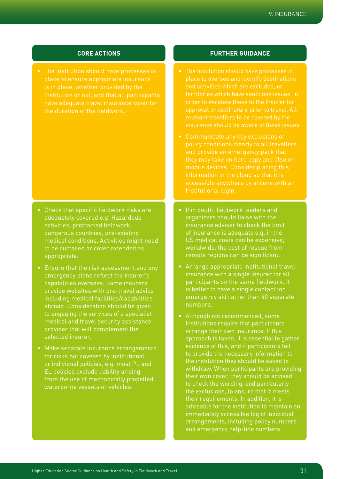## 9. Insurance

## **CORE ACTIONS**

place to ensure appropriate insurance have adequate travel insurance cover for the duration of the fieldwork.

- Check that specific fieldwork risks are adequately covered e.g. Hazardous activities, protracted fieldwork, dangerous countries, pre-existing medical conditions. Activities might need to be curtailed or cover extended as appropriate.
- Ensure that the risk assessment and any emergency plans reflect the insurer's capabilities overseas. Some insurers provide websites with pre-travel advice including medical facilities/capabilities abroad. Consideration should be given to engaging the services of a specialist medical and travel security assistance provider that will complement the selected insurer.
- Make separate insurance arrangements for risks not covered by institutional or individual policies, e.g. most PL and EL policies exclude liability arising from the use of mechanically propelled waterborne vessels or vehicles.

- place to oversee and identify destinations and activities which are excluded, or territories which have sanctions issues, in order to escalate these to the Insurer for approval or declinature prior to travel. All insurance should be aware of these issues.
- Communicate any key exclusions or they may take on hard copy and also on mobile devices. Consider placing this information in the cloud so that it is Institutional login.
- If in doubt, fieldwork leaders and organisers should liaise with the insurance adviser to check the limit of insurance is adequate e.g. in the US medical costs can be expensive; worldwide, the cost of rescue from remote regions can be significant.
- Arrange appropriate institutional travel insurance with a single insurer for all participants on the same fieldwork. It is better to have a single contact for emergency aid rather than 40 separate numbers.
- Although not recommended, some Institutions require that participants arrange their own insurance. If this approach is taken, it is essential to gather evidence of this, and if participants fail to provide the necessary information to the institution they should be asked to withdraw. When participants are providing their own cover, they should be advised to check the wording, and particularly the exclusions, to ensure that it meets their requirements. In addition, it is advisable for the institution to maintain an immediately accessible log of individual arrangements, including policy numbers and emergency help-line numbers.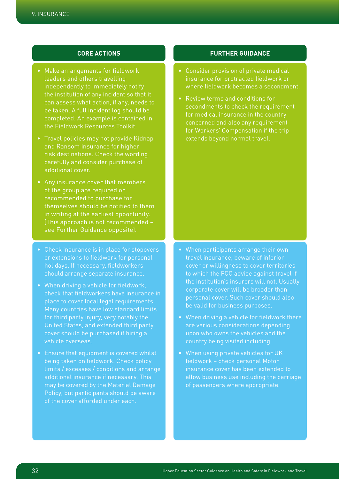## **CORE ACTIONS**

- Make arrangements for fieldwork leaders and others travelling independently to immediately notify the institution of any incident so that it be taken. A full incident log should be completed. An example is contained in the Fieldwork Resources Toolkit.
- Travel policies may not provide Kidnap and Ransom insurance for higher risk destinations. Check the wording carefully and consider purchase of additional cover.
- Any insurance cover that members of the group are required or recommended to purchase for themselves should be notified to them in writing at the earliest opportunity. (This approach is not recommended – see Further Guidance opposite).
- Check insurance is in place for stopovers holidays. If necessary, fieldworkers should arrange separate insurance.
- When driving a vehicle for fieldwork, check that fieldworkers have insurance in place to cover local legal requirements. Many countries have low standard limits for third party injury, very notably the United States, and extended third party cover should be purchased if hiring a vehicle overseas.
- Ensure that equipment is covered whilst being taken on fieldwork. Check policy additional insurance if necessary. This may be covered by the Material Damage Policy, but participants should be aware of the cover afforded under each.

## **FURTHER GUIDANCE**

- Consider provision of private medical insurance for protracted fieldwork or where fieldwork becomes a secondment.
- Review terms and conditions for secondments to check the requirement for medical insurance in the country concerned and also any requirement for Workers' Compensation if the trip extends beyond normal travel.

• When participants arrange their own cover or willingness to cover territories to which the FCO advise against travel if corporate cover will be broader than personal cover. Such cover should also be valid for business purposes.

- When driving a vehicle for fieldwork there are various considerations depending upon who owns the vehicles and the country being visited including:
- When using private vehicles for UK fieldwork – check personal Motor insurance cover has been extended to allow business use including the carriage of passengers where appropriate.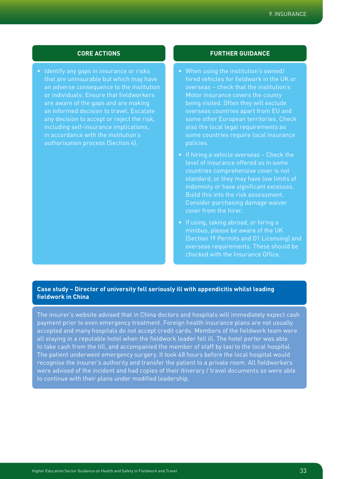• Identify any gaps in insurance or risks that are uninsurable but which may have an adverse consequence to the institution or individuals. Ensure that fieldworkers are aware of the gaps and are making any decision to accept or reject the risk, including self-insurance implications, in accordance with the institution's authorisation process (Section 4).

## **CORE ACTIONS FURTHER GUIDANCE**

- When using the institution's owned/ hired vehicles for fieldwork in the UK or overseas – check that the institution's Motor insurance covers the county being visited. Often they will exclude overseas countries apart from EU and some other European territories. Check also the local legal requirements as some countries require local insurance policies.
- If hiring a vehicle overseas Check the level of insurance offered as in some countries comprehensive cover is not standard, or they may have low limits of indemnity or have significant excesses. Build this into the risk assessment. Consider purchasing damage waiver cover from the hirer.
- If using, taking abroad, or hiring a minibus, please be aware of the UK (Section 19 Permits and D1 Licensing) and overseas requirements. These should be checked with the Insurance Office.

## **Case study – Director of university fell seriously ill with appendicitis whilst leading fieldwork in China**

The insurer's website advised that in China doctors and hospitals will immediately expect cash payment prior to even emergency treatment. Foreign health insurance plans are not usually accepted and many hospitals do not accept credit cards. Members of the fieldwork team were all staying in a reputable hotel when the fieldwork leader fell ill. The hotel porter was able to take cash from the till, and accompanied the member of staff by taxi to the local hospital. The patient underwent emergency surgery. It took 48 hours before the local hospital would recognise the insurer's authority and transfer the patient to a private room. All fieldworkers were advised of the incident and had copies of their itinerary / travel documents so were able to continue with their plans under modified leadership.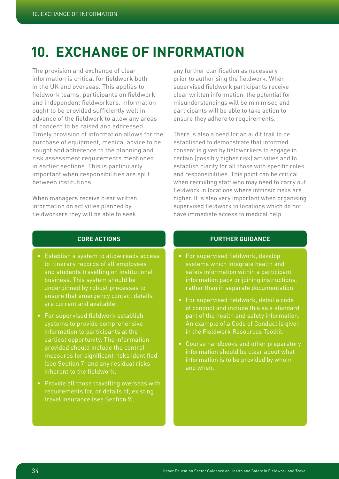# **10. Exchange of information**

The provision and exchange of clear information is critical for fieldwork both in the UK and overseas. This applies to fieldwork teams, participants on fieldwork and independent fieldworkers. Information ought to be provided sufficiently well in advance of the fieldwork to allow any areas of concern to be raised and addressed. Timely provision of information allows for the purchase of equipment, medical advice to be sought and adherence to the planning and risk assessment requirements mentioned in earlier sections. This is particularly important when responsibilities are split between institutions.

When managers receive clear written information on activities planned by fieldworkers they will be able to seek

any further clarification as necessary prior to authorising the fieldwork. When supervised fieldwork participants receive clear written information, the potential for misunderstandings will be minimised and participants will be able to take action to ensure they adhere to requirements.

There is also a need for an audit trail to be established to demonstrate that informed consent is given by fieldworkers to engage in certain (possibly higher risk) activities and to establish clarity for all those with specific roles and responsibilities. This point can be critical when recruiting staff who may need to carry out fieldwork in locations where intrinsic risks are higher. It is also very important when organising supervised fieldwork to locations which do not have immediate access to medical help.

## **CORE ACTIONS**

- Establish a system to allow ready access to itinerary records of all employees and students travelling on institutional business. This system should be underpinned by robust processes to ensure that emergency contact details are current and available.
- For supervised fieldwork establish systems to provide comprehensive information to participants at the earliest opportunity. The information provided should include the control measures for significant risks identified (see Section 7) and any residual risks inherent to the fieldwork.
- Provide all those travelling overseas with requirements for, or details of, existing travel insurance (see Section 9).

- For supervised fieldwork, develop systems which integrate health and safety information within a participant information pack or joining instructions, rather than in separate documentation.
- For supervised fieldwork, detail a code of conduct and include this as a standard part of the health and safety information. An example of a Code of Conduct is given in the Fieldwork Resources Toolkit.
- Course handbooks and other preparatory information should be clear about what information is to be provided by whom and when.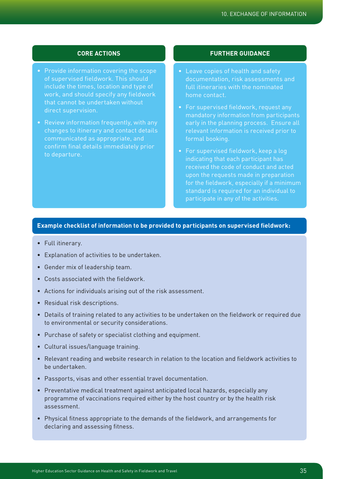- Provide information covering the scope of supervised fieldwork. This should include the times, location and type of work, and should specify any fieldwork that cannot be undertaken without direct supervision.
- Review information frequently, with any changes to itinerary and contact details communicated as appropriate, and to departure.

## **CORE ACTIONS FURTHER GUIDANCE**

- Leave copies of health and safety documentation, risk assessments and full itineraries with the nominated home contact.
- For supervised fieldwork, request any mandatory information from participants early in the planning process. Ensure all relevant information is received prior to formal booking.
- For supervised fieldwork, keep a log indicating that each participant has received the code of conduct and acted upon the requests made in preparation for the fieldwork, especially if a minimum standard is required for an individual to

## **Example checklist of information to be provided to participants on supervised fieldwork:**

- Full itinerary.
- Explanation of activities to be undertaken.
- Gender mix of leadership team.
- Costs associated with the fieldwork.
- Actions for individuals arising out of the risk assessment.
- Residual risk descriptions.
- Details of training related to any activities to be undertaken on the fieldwork or required due to environmental or security considerations.
- Purchase of safety or specialist clothing and equipment.
- Cultural issues/language training.
- Relevant reading and website research in relation to the location and fieldwork activities to be undertaken.
- Passports, visas and other essential travel documentation.
- Preventative medical treatment against anticipated local hazards, especially any programme of vaccinations required either by the host country or by the health risk assessment.
- Physical fitness appropriate to the demands of the fieldwork, and arrangements for declaring and assessing fitness.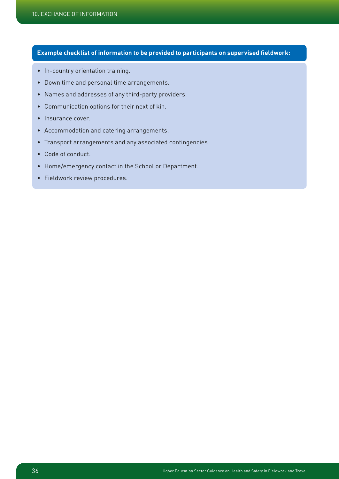## **Example checklist of information to be provided to participants on supervised fieldwork:**

- In-country orientation training.
- Down time and personal time arrangements.
- Names and addresses of any third-party providers.
- Communication options for their next of kin.
- Insurance cover.
- Accommodation and catering arrangements.
- Transport arrangements and any associated contingencies.
- Code of conduct.
- Home/emergency contact in the School or Department.
- Fieldwork review procedures.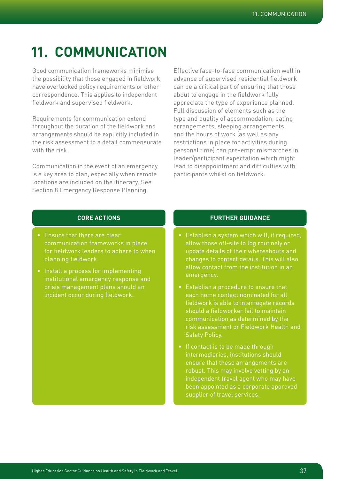# **11. Communication**

Good communication frameworks minimise the possibility that those engaged in fieldwork have overlooked policy requirements or other correspondence. This applies to independent fieldwork and supervised fieldwork.

Requirements for communication extend throughout the duration of the fieldwork and arrangements should be explicitly included in the risk assessment to a detail commensurate with the risk.

Communication in the event of an emergency is a key area to plan, especially when remote locations are included on the itinerary. See Section 8 Emergency Response Planning.

Effective face-to-face communication well in advance of supervised residential fieldwork can be a critical part of ensuring that those about to engage in the fieldwork fully appreciate the type of experience planned. Full discussion of elements such as the type and quality of accommodation, eating arrangements, sleeping arrangements, and the hours of work (as well as any restrictions in place for activities during personal time) can pre-empt mismatches in leader/participant expectation which might lead to disappointment and difficulties with participants whilst on fieldwork.

## **CORE ACTIONS**

- Ensure that there are clear communication frameworks in place for fieldwork leaders to adhere to when planning fieldwork.
- Install a process for implementing institutional emergency response and crisis management plans should an incident occur during fieldwork.

- Establish a system which will, if required, allow those off-site to log routinely or update details of their whereabouts and changes to contact details. This will also allow contact from the institution in an emergency.
- Establish a procedure to ensure that each home contact nominated for all fieldwork is able to interrogate records should a fieldworker fail to maintain communication as determined by the risk assessment or Fieldwork Health and Safety Policy.
- If contact is to be made through intermediaries, institutions should ensure that these arrangements are robust. This may involve vetting by an independent travel agent who may have been appointed as a corporate approved supplier of travel services.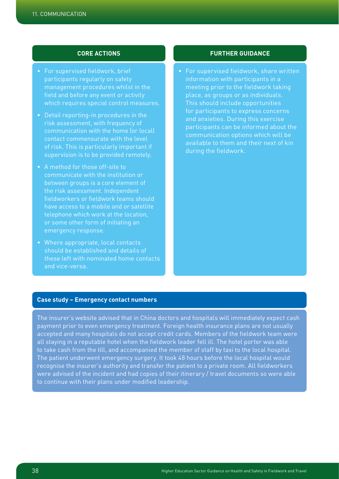- For supervised fieldwork, brief participants regularly on safety management procedures whilst in the which requires special control measures.
- risk assessment, with frequency of communication with the home (or local) contact commensurate with the level of risk. This is particularly important if supervision is to be provided remotely.
- A method for those off-site to communicate with the institution or between groups is a core element of the risk assessment. Independent fieldworkers or fieldwork teams should have access to a mobile and or satellite telephone which work at the location, emergency response.
- Where appropriate, local contacts should be established and details of these left with nominated home contacts and vice-versa.

## **CORE ACTIONS FURTHER GUIDANCE**

• For supervised fieldwork, share written information with participants in a meeting prior to the fieldwork taking place, as groups or as individuals. This should include opportunities for participants to express concerns and anxieties. During this exercise participants can be informed about the communication options which will be available to them and their next of kin during the fieldwork.

## **Case study – Emergency contact numbers**

The insurer's website advised that in China doctors and hospitals will immediately expect cash payment prior to even emergency treatment. Foreign health insurance plans are not usually accepted and many hospitals do not accept credit cards. Members of the fieldwork team were all staying in a reputable hotel when the fieldwork leader fell ill. The hotel porter was able to take cash from the till, and accompanied the member of staff by taxi to the local hospital. The patient underwent emergency surgery. It took 48 hours before the local hospital would recognise the insurer's authority and transfer the patient to a private room. All fieldworkers were advised of the incident and had copies of their itinerary / travel documents so were able to continue with their plans under modified leadership.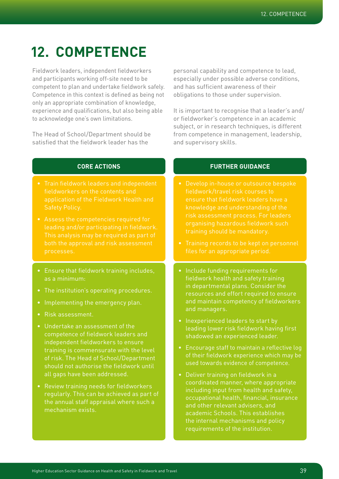# **12. Competence**

Fieldwork leaders, independent fieldworkers and participants working off-site need to be competent to plan and undertake fieldwork safely. Competence in this context is defined as being not only an appropriate combination of knowledge, experience and qualifications, but also being able to acknowledge one's own limitations.

The Head of School/Department should be satisfied that the fieldwork leader has the

personal capability and competence to lead, especially under possible adverse conditions, and has sufficient awareness of their obligations to those under supervision.

It is important to recognise that a leader's and/ or fieldworker's competence in an academic subject, or in research techniques, is different from competence in management, leadership, and supervisory skills.

## **CORE ACTIONS**

- Train fieldwork leaders and independent fieldworkers on the contents and application of the Fieldwork Health and Safety Policy.
- leading and/or participating in fieldwork.
- Ensure that fieldwork training includes, as a minimum:
- The institution's operating procedures.
- Implementing the emergency plan.
- Risk assessment.
- Undertake an assessment of the competence of fieldwork leaders and independent fieldworkers to ensure training is commensurate with the level of risk. The Head of School/Department should not authorise the fieldwork until all gaps have been addressed.
- Review training needs for fieldworkers regularly. This can be achieved as part of the annual staff appraisal where such a mechanism exists.

- Develop in-house or outsource bespoke fieldwork/travel risk courses to ensure that fieldwork leaders have a knowledge and understanding of the risk assessment process. For leaders organising hazardous fieldwork such
- 
- Include funding requirements for fieldwork health and safety training in departmental plans. Consider the resources and effort required to ensure and maintain competency of fieldworkers and managers.
- Inexperienced leaders to start by leading lower risk fieldwork having first shadowed an experienced leader.
- Encourage staff to maintain a reflective log of their fieldwork experience which may be used towards evidence of competence.
- Deliver training on fieldwork in a coordinated manner, where appropriate including input from health and safety, occupational health, financial, insurance and other relevant advisers, and academic Schools. This establishes the internal mechanisms and policy requirements of the institution.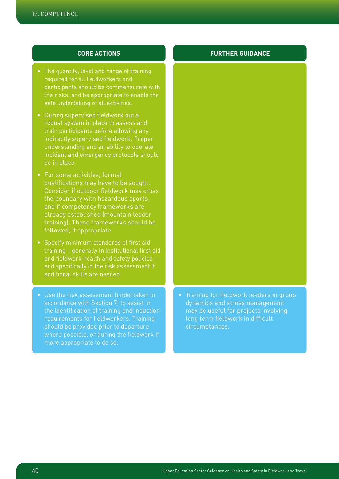- The quantity, level and range of training required for all fieldworkers and participants should be commensurate with the risks, and be appropriate to enable the safe undertaking of all activities.
- During supervised fieldwork put a robust system in place to assess and train participants before allowing any indirectly supervised fieldwork. Proper understanding and an ability to operate incident and emergency protocols should be in place.
- For some activities, formal qualifications may have to be sought. Consider if outdoor fieldwork may cross the boundary with hazardous sports, and if competency frameworks are already established (mountain leader training). These frameworks should be followed, if appropriate.
- Specify minimum standards of first aid training – generally in institutional first aid and fieldwork health and safety policies – and specifically in the risk assessment if additional skills are needed.
- Use the risk assessment (undertaken in accordance with Section 7) to assist in the identification of training and induction requirements for fieldworkers. Training should be provided prior to departure where possible, or during the fieldwork if more appropriate to do so.

## • Training for fieldwork leaders in group dynamics and stress management may be useful for projects involving long term fieldwork in difficult circumstances.

## **CORE ACTIONS FURTHER GUIDANCE**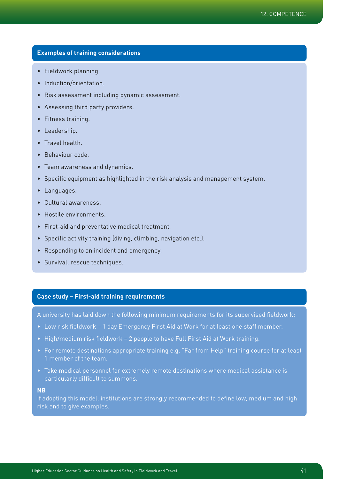## **Examples of training considerations**

- Fieldwork planning.
- Induction/orientation.
- Risk assessment including dynamic assessment.
- Assessing third party providers.
- Fitness training.
- Leadership.
- Travel health.
- Behaviour code.
- Team awareness and dynamics.
- Specific equipment as highlighted in the risk analysis and management system.
- Languages.
- Cultural awareness.
- Hostile environments.
- First-aid and preventative medical treatment.
- Specific activity training (diving, climbing, navigation etc.).
- Responding to an incident and emergency.
- Survival, rescue techniques.

## **Case study – First-aid training requirements**

A university has laid down the following minimum requirements for its supervised fieldwork:

- Low risk fieldwork 1 day Emergency First Aid at Work for at least one staff member.
- High/medium risk fieldwork 2 people to have Full First Aid at Work training.
- For remote destinations appropriate training e.g. "Far from Help" training course for at least 1 member of the team.
- Take medical personnel for extremely remote destinations where medical assistance is particularly difficult to summons.

## **NB**

If adopting this model, institutions are strongly recommended to define low, medium and high risk and to give examples.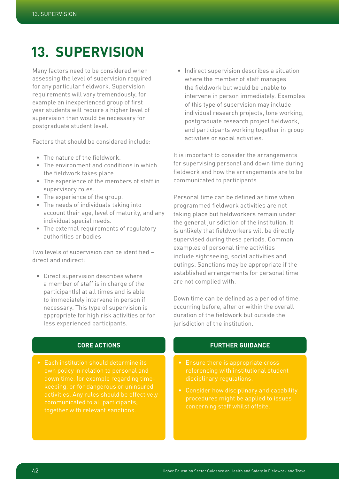# **13. Supervision**

Many factors need to be considered when assessing the level of supervision required for any particular fieldwork. Supervision requirements will vary tremendously, for example an inexperienced group of first year students will require a higher level of supervision than would be necessary for postgraduate student level.

Factors that should be considered include:

- The nature of the fieldwork
- The environment and conditions in which the fieldwork takes place.
- The experience of the members of staff in supervisory roles.
- The experience of the group.
- The needs of individuals taking into account their age, level of maturity, and any individual special needs.
- The external requirements of regulatory authorities or bodies

Two levels of supervision can be identified – direct and indirect:

• Direct supervision describes where a member of staff is in charge of the participant(s) at all times and is able to immediately intervene in person if necessary. This type of supervision is appropriate for high risk activities or for less experienced participants.

• Indirect supervision describes a situation where the member of staff manages the fieldwork but would be unable to intervene in person immediately. Examples of this type of supervision may include individual research projects, lone working, postgraduate research project fieldwork, and participants working together in group activities or social activities.

It is important to consider the arrangements for supervising personal and down time during fieldwork and how the arrangements are to be communicated to participants.

Personal time can be defined as time when programmed fieldwork activities are not taking place but fieldworkers remain under the general jurisdiction of the institution. It is unlikely that fieldworkers will be directly supervised during these periods. Common examples of personal time activities include sightseeing, social activities and outings. Sanctions may be appropriate if the established arrangements for personal time are not complied with.

Down time can be defined as a period of time, occurring before, after or within the overall duration of the fieldwork but outside the jurisdiction of the institution.

## **CORE ACTIONS**

• Each institution should determine its own policy in relation to personal and down time, for example regarding timekeeping, or for dangerous or uninsured communicated to all participants, together with relevant sanctions.

- referencing with institutional student disciplinary regulations.
- Consider how disciplinary and capability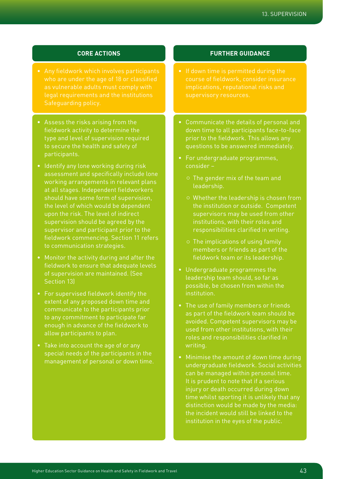- who are under the age of 18 or classified as vulnerable adults must comply with Safeguarding policy.
- Assess the risks arising from the fieldwork activity to determine the type and level of supervision required to secure the health and safety of participants.
- Identify any lone working during risk assessment and specifically include lone working arrangements in relevant plans at all stages. Independent fieldworkers should have some form of supervision, the level of which would be dependent upon the risk. The level of indirect supervision should be agreed by the supervisor and participant prior to the fieldwork commencing. Section 11 refers to communication strategies.
- Monitor the activity during and after the fieldwork to ensure that adequate levels of supervision are maintained. (See Section 13)
- For supervised fieldwork identify the extent of any proposed down time and communicate to the participants prior to any commitment to participate far enough in advance of the fieldwork to allow participants to plan.
- Take into account the age of or any special needs of the participants in the management of personal or down time.

## **CORE ACTIONS FURTHER GUIDANCE**

- course of fieldwork, consider insurance
- Communicate the details of personal and down time to all participants face-to-face prior to the fieldwork. This allows any questions to be answered immediately.
- For undergraduate programmes, consider –
	- $\circ$  The gender mix of the team and leadership.
	- ¡ Whether the leadership is chosen from the institution or outside. Competent supervisors may be used from other institutions, with their roles and responsibilities clarified in writing.
	- $\circ$  The implications of using family members or friends as part of the fieldwork team or its leadership.
- Undergraduate programmes the leadership team should, so far as possible, be chosen from within the institution.
- The use of family members or friends as part of the fieldwork team should be avoided. Competent supervisors may be used from other institutions, with their roles and responsibilities clarified in writing.
- Minimise the amount of down time during undergraduate fieldwork. Social activities can be managed within personal time. It is prudent to note that if a serious injury or death occurred during down time whilst sporting it is unlikely that any distinction would be made by the media: the incident would still be linked to the institution in the eyes of the public.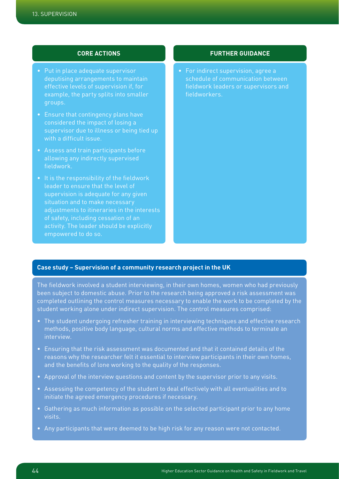- Put in place adequate supervisor deputising arrangements to maintain effective levels of supervision if, for example, the party splits into smaller groups.
- Ensure that contingency plans have considered the impact of losing a supervisor due to illness or being tied up with a difficult issue.
- Assess and train participants before allowing any indirectly supervised fieldwork.
- It is the responsibility of the fieldwork leader to ensure that the level of supervision is adequate for any given adjustments to itineraries in the interests of safety, including cessation of an activity. The leader should be explicitly empowered to do so.

## **CORE ACTIONS FURTHER GUIDANCE**

• For indirect supervision, agree a schedule of communication between fieldwork leaders or supervisors and fieldworkers.

## **Case study – Supervision of a community research project in the UK**

The fieldwork involved a student interviewing, in their own homes, women who had previously been subject to domestic abuse. Prior to the research being approved a risk assessment was completed outlining the control measures necessary to enable the work to be completed by the student working alone under indirect supervision. The control measures comprised:

- The student undergoing refresher training in interviewing techniques and effective research methods, positive body language, cultural norms and effective methods to terminate an interview.
- Ensuring that the risk assessment was documented and that it contained details of the reasons why the researcher felt it essential to interview participants in their own homes, and the benefits of lone working to the quality of the responses.
- Approval of the interview questions and content by the supervisor prior to any visits.
- Assessing the competency of the student to deal effectively with all eventualities and to initiate the agreed emergency procedures if necessary.
- Gathering as much information as possible on the selected participant prior to any home visits.
- Any participants that were deemed to be high risk for any reason were not contacted.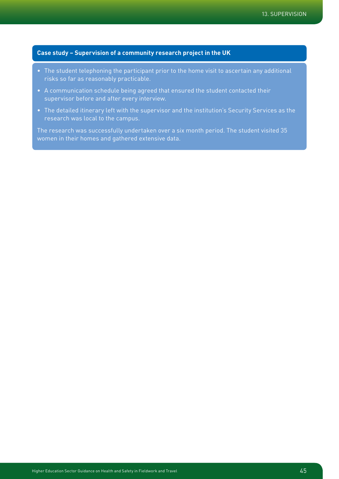## **Case study – Supervision of a community research project in the UK**

- The student telephoning the participant prior to the home visit to ascertain any additional risks so far as reasonably practicable.
- A communication schedule being agreed that ensured the student contacted their supervisor before and after every interview.
- The detailed itinerary left with the supervisor and the institution's Security Services as the research was local to the campus.

The research was successfully undertaken over a six month period. The student visited 35 women in their homes and gathered extensive data.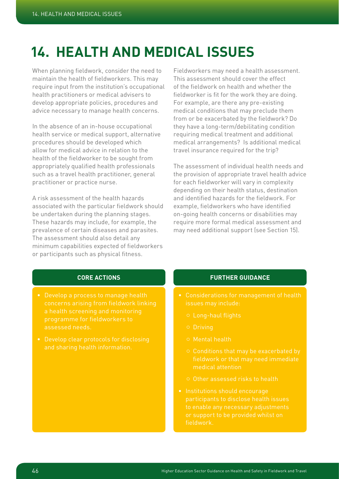# **14. Health and medical issues**

When planning fieldwork, consider the need to maintain the health of fieldworkers. This may require input from the institution's occupational health practitioners or medical advisers to develop appropriate policies, procedures and advice necessary to manage health concerns.

In the absence of an in-house occupational health service or medical support, alternative procedures should be developed which allow for medical advice in relation to the health of the fieldworker to be sought from appropriately qualified health professionals such as a travel health practitioner, general practitioner or practice nurse.

A risk assessment of the health hazards associated with the particular fieldwork should be undertaken during the planning stages. These hazards may include, for example, the prevalence of certain diseases and parasites. The assessment should also detail any minimum capabilities expected of fieldworkers or participants such as physical fitness.

Fieldworkers may need a health assessment. This assessment should cover the effect of the fieldwork on health and whether the fieldworker is fit for the work they are doing. For example, are there any pre-existing medical conditions that may preclude them from or be exacerbated by the fieldwork? Do they have a long-term/debilitating condition requiring medical treatment and additional medical arrangements? Is additional medical travel insurance required for the trip?

The assessment of individual health needs and the provision of appropriate travel health advice for each fieldworker will vary in complexity depending on their health status, destination and identified hazards for the fieldwork. For example, fieldworkers who have identified on-going health concerns or disabilities may require more formal medical assessment and may need additional support (see Section 15).

## **CORE ACTIONS**

- Develop a process to manage health concerns arising from fieldwork linking a health screening and monitoring programme for fieldworkers to assessed needs.
- 

- Considerations for management of health issues may include:
	-
	- ¡ Driving
	- $\circ$  Mental health
	- fieldwork or that may need immediate medical attention
	- ¡ Other assessed risks to health
- Institutions should encourage participants to disclose health issues to enable any necessary adjustments or support to be provided whilst on fieldwork.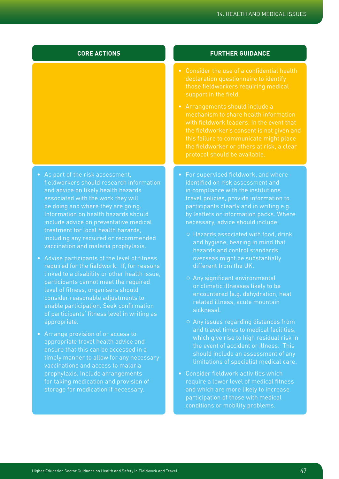## **CORE ACTIONS**

- As part of the risk assessment, fieldworkers should research information and advice on likely health hazards associated with the work they will be doing and where they are going. Information on health hazards should include advice on preventative medical treatment for local health hazards, including any required or recommended vaccination and malaria prophylaxis.
- Advise participants of the level of fitness required for the fieldwork. If, for reasons linked to a disability or other health issue, participants cannot meet the required level of fitness, organisers should consider reasonable adjustments to enable participation. Seek confirmation of participants' fitness level in writing as appropriate.
- Arrange provision of or access to appropriate travel health advice and ensure that this can be accessed in a timely manner to allow for any necessary vaccinations and access to malaria prophylaxis. Include arrangements storage for medication if necessary.

- Consider the use of a confidential health declaration questionnaire to identify those fieldworkers requiring medical support in the field.
- Arrangements should include a mechanism to share health information with fieldwork leaders. In the event that the fieldworker's consent is not given and this failure to communicate might place protocol should be available.
- For supervised fieldwork, and where identified on risk assessment and in compliance with the institutions travel policies, provide information to participants clearly and in writing e.g. by leaflets or information packs. Where necessary, advice should include:
	- ¡ Hazards associated with food, drink and hygiene, bearing in mind that overseas might be substantially different from the UK.
	- o Any significant environmental or climatic illnesses likely to be encountered (e.g. dehydration, heat related illness, acute mountain sickness).
	- $\circ$  Any issues regarding distances from and travel times to medical facilities, the event of accident or illness. This should include an assessment of any limitations of specialist medical care.
- Consider fieldwork activities which require a lower level of medical fitness and which are more likely to increase participation of those with medical conditions or mobility problems.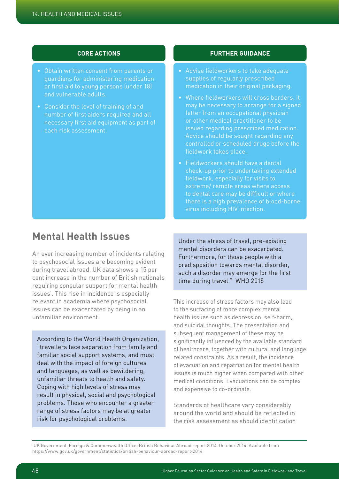## **CORE ACTIONS**

- Obtain written consent from parents or guardians for administering medication or first aid to young persons (under 18) and vulnerable adults.
- Consider the level of training of and necessary first aid equipment as part of each risk assessment.

## **FURTHER GUIDANCE**

- Advise fieldworkers to take adequate supplies of regularly prescribed medication in their original packaging.
- Where fieldworkers will cross borders, it may be necessary to arrange for a signed letter from an occupational physician issued regarding prescribed medication. Advice should be sought regarding any controlled or scheduled drugs before the fieldwork takes place.
- Fieldworkers should have a dental check-up prior to undertaking extended fieldwork, especially for visits to extreme/ remote areas where access to dental care may be difficult or where virus including HIV infection.

## **Mental Health Issues**

An ever increasing number of incidents relating to psychosocial issues are becoming evident during travel abroad. UK data shows a 15 per cent increase in the number of British nationals requiring consular support for mental health issues<sup>1</sup>. This rise in incidence is especially relevant in academia where psychosocial issues can be exacerbated by being in an unfamiliar environment.

According to the World Health Organization, "travellers face separation from family and familiar social support systems, and must deal with the impact of foreign cultures and languages, as well as bewildering, unfamiliar threats to health and safety. Coping with high levels of stress may result in physical, social and psychological problems. Those who encounter a greater range of stress factors may be at greater risk for psychological problems.

Under the stress of travel, pre-existing mental disorders can be exacerbated. Furthermore, for those people with a predisposition towards mental disorder, such a disorder may emerge for the first time during travel." WHO 2015

This increase of stress factors may also lead to the surfacing of more complex mental health issues such as depression, self-harm, and suicidal thoughts. The presentation and subsequent management of these may be significantly influenced by the available standard of healthcare, together with cultural and language related constraints. As a result, the incidence of evacuation and repatriation for mental health issues is much higher when compared with other medical conditions. Evacuations can be complex and expensive to co-ordinate.

Standards of healthcare vary considerably around the world and should be reflected in the risk assessment as should identification

<sup>1</sup> UK Government, Foreign & Commonwealth Office, British Behaviour Abroad report 2014. October 2014. Available from https://www.gov.uk/government/statistics/british-behaviour-abroad-report-2014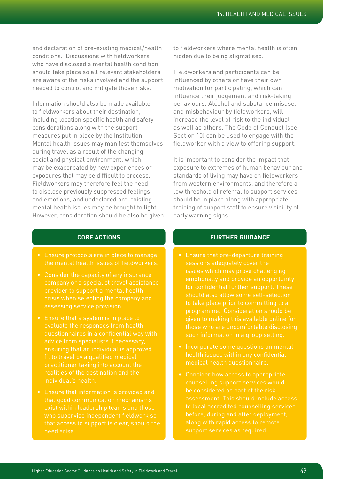and declaration of pre-existing medical/health conditions. Discussions with fieldworkers who have disclosed a mental health condition should take place so all relevant stakeholders are aware of the risks involved and the support needed to control and mitigate those risks.

Information should also be made available to fieldworkers about their destination, including location specific health and safety considerations along with the support measures put in place by the Institution. Mental health issues may manifest themselves during travel as a result of the changing social and physical environment, which may be exacerbated by new experiences or exposures that may be difficult to process. Fieldworkers may therefore feel the need to disclose previously suppressed feelings and emotions, and undeclared pre-existing mental health issues may be brought to light. However, consideration should be also be given

## to fieldworkers where mental health is often hidden due to being stigmatised.

Fieldworkers and participants can be influenced by others or have their own motivation for participating, which can influence their judgement and risk-taking behaviours. Alcohol and substance misuse, and misbehaviour by fieldworkers, will increase the level of risk to the individual as well as others. The Code of Conduct (see Section 10) can be used to engage with the fieldworker with a view to offering support.

It is important to consider the impact that exposure to extremes of human behaviour and standards of living may have on fieldworkers from western environments, and therefore a low threshold of referral to support services should be in place along with appropriate training of support staff to ensure visibility of early warning signs.

## **CORE ACTIONS**

- Ensure protocols are in place to manage the mental health issues of fieldworkers.
- Consider the capacity of any insurance company or a specialist travel assistance provider to support a mental health crisis when selecting the company and assessing service provision.
- Ensure that a system is in place to evaluate the responses from health questionnaires in a confidential way with advice from specialists if necessary, ensuring that an individual is approved practitioner taking into account the individual's health.
- Ensure that information is provided and that good communication mechanisms exist within leadership teams and those who supervise independent fieldwork so need arise.

- Ensure that pre-departure training sessions adequately cover the issues which may prove challenging emotionally and provide an opportunity for confidential further support. These should also allow some self-selection to take place prior to committing to a programme. Consideration should be given to making this available online for those who are uncomfortable disclosing such information in a group setting.
- Incorporate some questions on mental health issues within any confidential medical health questionnaire.
- be considered as part of the risk assessment. This should include access to local accredited counselling services before, during and after deployment,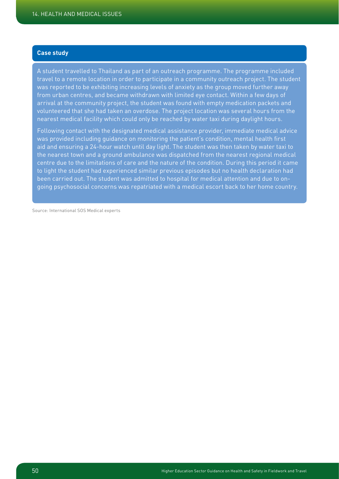## **Case study**

A student travelled to Thailand as part of an outreach programme. The programme included travel to a remote location in order to participate in a community outreach project. The student was reported to be exhibiting increasing levels of anxiety as the group moved further away from urban centres, and became withdrawn with limited eye contact. Within a few days of arrival at the community project, the student was found with empty medication packets and volunteered that she had taken an overdose. The project location was several hours from the nearest medical facility which could only be reached by water taxi during daylight hours.

Following contact with the designated medical assistance provider, immediate medical advice was provided including guidance on monitoring the patient's condition, mental health first aid and ensuring a 24-hour watch until day light. The student was then taken by water taxi to the nearest town and a ground ambulance was dispatched from the nearest regional medical centre due to the limitations of care and the nature of the condition. During this period it came to light the student had experienced similar previous episodes but no health declaration had been carried out. The student was admitted to hospital for medical attention and due to ongoing psychosocial concerns was repatriated with a medical escort back to her home country.

Source: International SOS Medical experts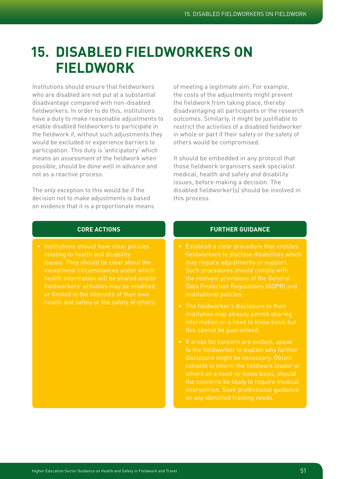# **15. Disabled Fieldworkers on Fieldwork**

Institutions should ensure that fieldworkers who are disabled are not put at a substantial disadvantage compared with non-disabled fieldworkers. In order to do this, institutions have a duty to make reasonable adjustments to enable disabled fieldworkers to participate in the fieldwork if, without such adjustments they would be excluded or experience barriers to participation. This duty is 'anticipatory' which means an assessment of the fieldwork when possible, should be done well in advance and not as a reactive process.

The only exception to this would be if the decision not to make adjustments is based on evidence that it is a proportionate means

of meeting a legitimate aim. For example, the costs of the adjustments might prevent the fieldwork from taking place, thereby disadvantaging all participants or the research outcomes. Similarly, it might be justifiable to restrict the activities of a disabled fieldworker in whole or part if their safety or the safety of others would be compromised.

It should be embedded in any protocol that those fieldwork organisers seek specialist medical, health and safety and disability issues, before making a decision. The disabled fieldworker(s) should be involved in this process.

## **CORE ACTIONS**

• Institutions should have clear policies relating to health and disability health information will be shared and/or fieldworkers' activities may be modified health and safety or the safety of others.

- Establish a clear procedure that enables may require adjustments or support. the relevant provisions of the General institutional policies.
- The fieldworker's disclosure to their institution may already permit sharing information on a need to know basis but this cannot be guaranteed.
- If areas for concern are evident, speak disclosure might be necessary. Obtain consent to inform the fieldwork leader or others on a need-to-know basis, should intervention. Seek professional guidance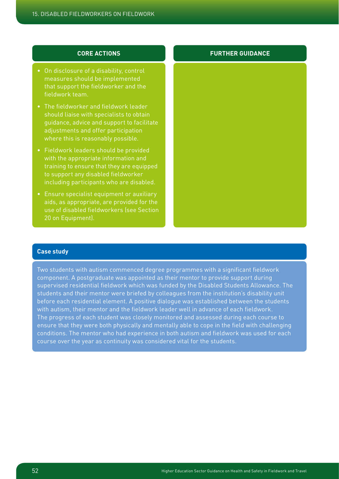## **CORE ACTIONS**

- On disclosure of a disability, control measures should be implemented that support the fieldworker and the fieldwork team.
- The fieldworker and fieldwork leader should liaise with specialists to obtain guidance, advice and support to facilitate adjustments and offer participation where this is reasonably possible.
- Fieldwork leaders should be provided with the appropriate information and training to ensure that they are equipped to support any disabled fieldworker including participants who are disabled.
- Ensure specialist equipment or auxiliary aids, as appropriate, are provided for the use of disabled fieldworkers (see Section 20 on Equipment).

## **FURTHER GUIDANCE**

## **Case study**

Two students with autism commenced degree programmes with a significant fieldwork component. A postgraduate was appointed as their mentor to provide support during supervised residential fieldwork which was funded by the Disabled Students Allowance. The students and their mentor were briefed by colleagues from the institution's disability unit before each residential element. A positive dialogue was established between the students with autism, their mentor and the fieldwork leader well in advance of each fieldwork. The progress of each student was closely monitored and assessed during each course to ensure that they were both physically and mentally able to cope in the field with challenging conditions. The mentor who had experience in both autism and fieldwork was used for each course over the year as continuity was considered vital for the students.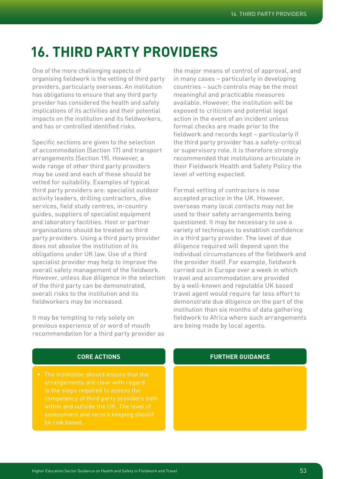# **16. Third party providers**

One of the more challenging aspects of organising fieldwork is the vetting of third party providers, particularly overseas. An institution has obligations to ensure that any third party provider has considered the health and safety implications of its activities and their potential impacts on the institution and its fieldworkers, and has or controlled identified risks.

Specific sections are given to the selection of accommodation (Section 17) and transport arrangements (Section 19). However, a wide range of other third party providers may be used and each of these should be vetted for suitability. Examples of typical third party providers are: specialist outdoor activity leaders, drilling contractors, dive services, field study centres, in-country guides, suppliers of specialist equipment and laboratory facilities. Host or partner organisations should be treated as third party providers. Using a third party provider does not absolve the institution of its obligations under UK law. Use of a third specialist provider may help to improve the overall safety management of the fieldwork. However, unless due diligence in the selection of the third party can be demonstrated, overall risks to the institution and its fieldworkers may be increased.

It may be tempting to rely solely on previous experience of or word of mouth recommendation for a third party provider as the major means of control of approval, and in many cases – particularly in developing countries – such controls may be the most meaningful and practicable measures available. However, the institution will be exposed to criticism and potential legal action in the event of an incident unless formal checks are made prior to the fieldwork and records kept – particularly if the third party provider has a safety-critical or supervisory role. It is therefore strongly recommended that institutions articulate in their Fieldwork Health and Safety Policy the level of vetting expected.

Formal vetting of contractors is now accepted practice in the UK. However, overseas many local contacts may not be used to their safety arrangements being questioned. It may be necessary to use a variety of techniques to establish confidence in a third party provider. The level of due diligence required will depend upon the individual circumstances of the fieldwork and the provider itself. For example, fieldwork carried out in Europe over a week in which travel and accommodation are provided by a well-known and reputable UK based travel agent would require far less effort to demonstrate due diligence on the part of the institution than six months of data gathering fieldwork to Africa where such arrangements are being made by local agents.

## **CORE ACTIONS**

• The institution should ensure that the to the steps required to assess the within and outside the UK. The level of assessment and record keeping should be risk based.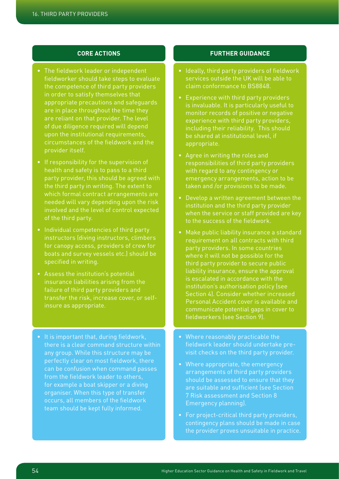## **CORE ACTIONS**

- The fieldwork leader or independent fieldworker should take steps to evaluate the competence of third party providers in order to satisfy themselves that appropriate precautions and safeguards are in place throughout the time they are reliant on that provider. The level of due diligence required will depend upon the institutional requirements. circumstances of the fieldwork and the provider itself.
- If responsibility for the supervision of health and safety is to pass to a third party provider, this should be agreed with the third party in writing. The extent to which formal contract arrangements are needed will vary depending upon the risk involved and the level of control expected of the third party.
- Individual competencies of third party instructors (diving instructors, climbers for canopy access, providers of crew for boats and survey vessels etc.) should be specified in writing.
- Assess the institution's potential insurance liabilities arising from the failure of third party providers and transfer the risk, increase cover, or selfinsure as appropriate.
- It is important that, during fieldwork, there is a clear command structure within perfectly clear on most fieldwork, there can be confusion when command passes from the fieldwork leader to others, for example a boat skipper or a diving organiser. When this type of transfer occurs, all members of the fieldwork team should be kept fully informed.

- Ideally, third party providers of fieldwork services outside the UK will be able to claim conformance to BS8848.
- Experience with third party providers is invaluable. It is particularly useful to monitor records of positive or negative experience with third party providers, including their reliability. This should be shared at institutional level, if appropriate.
- Agree in writing the roles and responsibilities of third party providers with regard to any contingency or emergency arrangements, action to be taken and /or provisions to be made.
- Develop a written agreement between the institution and the third party provider when the service or staff provided are key to the success of the fieldwork.
- Make public liability insurance a standard requirement on all contracts with third party providers. In some countries where it will not be possible for the third party provider to secure public liability insurance, ensure the approval is escalated in accordance with the institution's authorisation policy (see Section 4). Consider whether increased Personal Accident cover is available and communicate potential gaps in cover to fieldworkers (see Section 9).
- Where reasonably practicable the fieldwork leader should undertake previsit checks on the third party provider.
- Where appropriate, the emergency arrangements of third party providers should be assessed to ensure that they are suitable and sufficient (see Section 7 Risk assessment and Section 8 Emergency planning).
- For project-critical third party providers, contingency plans should be made in case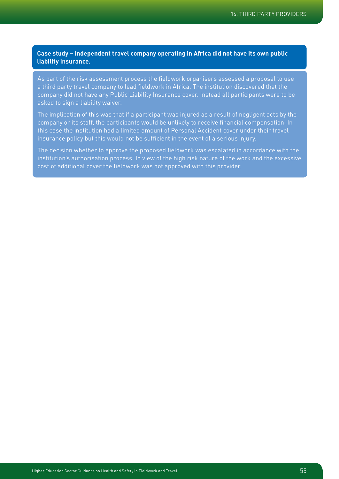**Case study – Independent travel company operating in Africa did not have its own public liability insurance.**

As part of the risk assessment process the fieldwork organisers assessed a proposal to use a third party travel company to lead fieldwork in Africa. The institution discovered that the company did not have any Public Liability Insurance cover. Instead all participants were to be asked to sign a liability waiver.

The implication of this was that if a participant was injured as a result of negligent acts by the company or its staff, the participants would be unlikely to receive financial compensation. In this case the institution had a limited amount of Personal Accident cover under their travel insurance policy but this would not be sufficient in the event of a serious injury.

The decision whether to approve the proposed fieldwork was escalated in accordance with the institution's authorisation process. In view of the high risk nature of the work and the excessive cost of additional cover the fieldwork was not approved with this provider.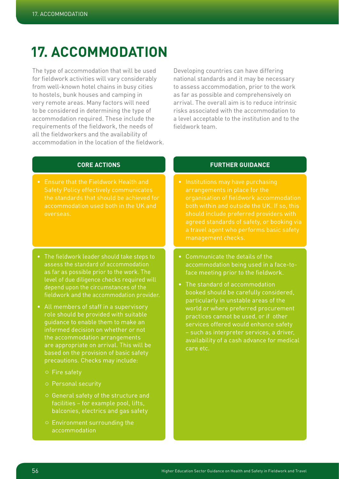# **17. Accommodation**

The type of accommodation that will be used for fieldwork activities will vary considerably from well-known hotel chains in busy cities to hostels, bunk houses and camping in very remote areas. Many factors will need to be considered in determining the type of accommodation required. These include the requirements of the fieldwork, the needs of all the fieldworkers and the availability of accommodation in the location of the fieldwork.

Developing countries can have differing national standards and it may be necessary to assess accommodation, prior to the work as far as possible and comprehensively on arrival. The overall aim is to reduce intrinsic risks associated with the accommodation to a level acceptable to the institution and to the fieldwork team.

## **CORE ACTIONS**

- Ensure that the Fieldwork Health and the standards that should be achieved for accommodation used both in the UK and overseas.
- The fieldwork leader should take steps to assess the standard of accommodation as far as possible prior to the work. The level of due diligence checks required will depend upon the circumstances of the fieldwork and the accommodation provider.
- All members of staff in a supervisory role should be provided with suitable guidance to enable them to make an informed decision on whether or not the accommodation arrangements are appropriate on arrival. This will be based on the provision of basic safety precautions. Checks may include:
	- o Fire safety
	- o Personal security
	- ¡ General safety of the structure and facilities – for example pool, lifts, balconies, electrics and gas safety
	- ¡ Environment surrounding the accommodation

- Institutions may have purchasing organisation of fieldwork accommodation both within and outside the UK. If so, this should include preferred providers with agreed standards of safety, or booking via a travel agent who performs basic safety management checks.
- Communicate the details of the accommodation being used in a face-toface meeting prior to the fieldwork.
- The standard of accommodation booked should be carefully considered, particularly in unstable areas of the world or where preferred procurement practices cannot be used, or if other services offered would enhance safety – such as interpreter services, a driver, availability of a cash advance for medical care etc.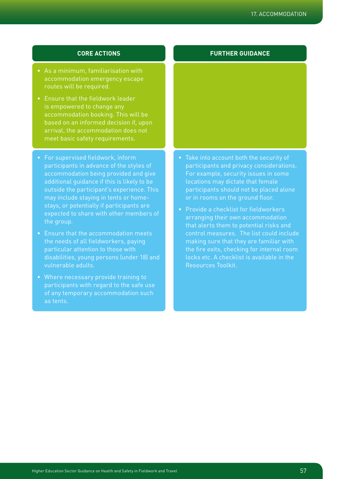## **CORE ACTIONS**

- As a minimum, familiarisation with accommodation emergency escape routes will be required.
- Ensure that the fieldwork leader is empowered to change any accommodation booking. This will be based on an informed decision if, upon arrival, the accommodation does not meet basic safety requirements.
- For supervised fieldwork, inform participants in advance of the styles of accommodation being provided and give additional guidance if this is likely to be outside the participant's experience. This may include staying in tents or homestays, or potentially if participants are expected to share with other members of the group.
- Ensure that the accommodation meets the needs of all fieldworkers, paying particular attention to those with disabilities, young persons (under 18) and vulnerable adults.
- Where necessary provide training to participants with regard to the safe use as tents.

- Take into account both the security of participants and privacy considerations. locations may dictate that female participants should not be placed alone or in rooms on the ground floor.
- Provide a checklist for fieldworkers arranging their own accommodation that alerts them to potential risks and control measures. The list could include making sure that they are familiar with the fire exits, checking for internal room locks etc. A checklist is available in the Resources Toolkit.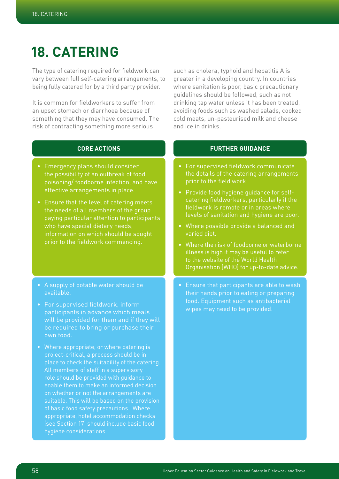# **18. Catering**

The type of catering required for fieldwork can vary between full self-catering arrangements, to being fully catered for by a third party provider.

It is common for fieldworkers to suffer from an upset stomach or diarrhoea because of something that they may have consumed. The risk of contracting something more serious

such as cholera, typhoid and hepatitis A is greater in a developing country. In countries where sanitation is poor, basic precautionary guidelines should be followed, such as not drinking tap water unless it has been treated, avoiding foods such as washed salads, cooked cold meats, un-pasteurised milk and cheese and ice in drinks.

## **CORE ACTIONS**

- Emergency plans should consider the possibility of an outbreak of food poisoning/ foodborne infection, and have effective arrangements in place.
- Ensure that the level of catering meets the needs of all members of the group paying particular attention to participants who have special dietary needs, information on which should be sought prior to the fieldwork commencing.
- A supply of potable water should be available.
- For supervised fieldwork, inform participants in advance which meals be required to bring or purchase their own food.
- Where appropriate, or where catering is project-critical, a process should be in place to check the suitability of the catering. role should be provided with guidance to enable them to make an informed decision on whether or not the arrangements are suitable. This will be based on the provision of basic food safety precautions. Where appropriate, hotel accommodation checks (see Section 17) should include basic food hygiene considerations.

- For supervised fieldwork communicate the details of the catering arrangements prior to the field work.
- Provide food hygiene guidance for selfcatering fieldworkers, particularly if the fieldwork is remote or in areas where levels of sanitation and hygiene are poor.
- Where possible provide a balanced and varied diet.
- Where the risk of foodborne or waterborne illness is high it may be useful to refer to the website of the World Health Organisation (WHO) for up-to-date advice.
- Ensure that participants are able to wash food. Equipment such as antibacterial wipes may need to be provided.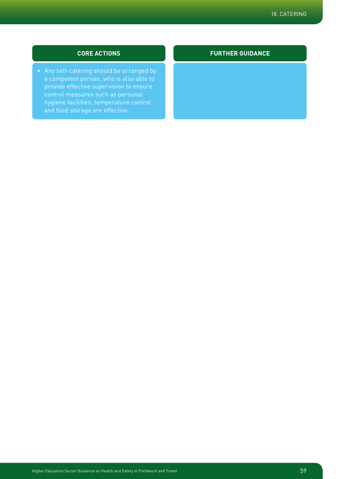## **CORE ACTIONS**

• Any self-catering should be arranged by provide effective supervision to ensure hygiene facilities, temperature control and food storage are effective.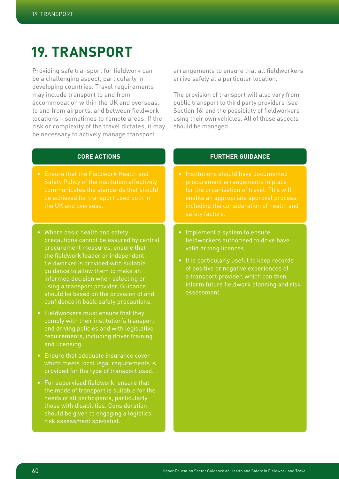# **19. Transport**

Providing safe transport for fieldwork can be a challenging aspect, particularly in developing countries. Travel requirements may include transport to and from accommodation within the UK and overseas, to and from airports, and between fieldwork locations – sometimes to remote areas. If the risk or complexity of the travel dictates, it may be necessary to actively manage transport

arrangements to ensure that all fieldworkers arrive safely at a particular location.

The provision of transport will also vary from public transport to third party providers (see Section 16) and the possibility of fieldworkers using their own vehicles. All of these aspects should be managed.

## **CORE ACTIONS**

- Ensure that the Fieldwork Health and Safety Policy of the institution effectively communicates the standards that should be achieved for transport used both in the UK and overseas.
- Where basic health and safety precautions cannot be assured by central procurement measures, ensure that the fieldwork leader or independent fieldworker is provided with suitable guidance to allow them to make an informed decision when selecting or using a transport provider. Guidance should be based on the provision of and confidence in basic safety precautions.
- Fieldworkers must ensure that they comply with their institution's transport and driving policies and with legislative requirements, including driver training and licensing.
- Ensure that adequate insurance cover which meets local legal requirements is provided for the type of transport used.
- For supervised fieldwork, ensure that the mode of transport is suitable for the needs of all participants, particularly those with disabilities. Consideration should be given to engaging a logistics risk assessment specialist.

- Institutions should have documented procurement arrangements in place for the organisation of travel. This will enable an appropriate approval process, including the consideration of health and safety factors.
- Implement a system to ensure fieldworkers authorised to drive have valid driving licences.
- It is particularly useful to keep records of positive or negative experiences of a transport provider, which can then inform future fieldwork planning and risk assessment.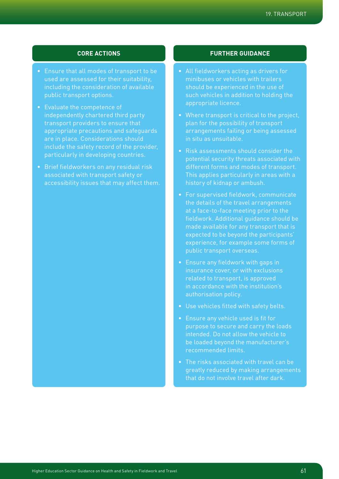## 19. Transport

## **CORE ACTIONS**

- Ensure that all modes of transport to be used are assessed for their suitability, including the consideration of available public transport options.
- Evaluate the competence of independently chartered third party transport providers to ensure that appropriate precautions and safeguards are in place. Considerations should include the safety record of the provider, particularly in developing countries.
- Brief fieldworkers on any residual risk associated with transport safety or accessibility issues that may affect them.

- All fieldworkers acting as drivers for minibuses or vehicles with trailers should be experienced in the use of such vehicles in addition to holding the appropriate licence.
- Where transport is critical to the project. plan for the possibility of transport arrangements failing or being assessed in situ as unsuitable.
- Risk assessments should consider the potential security threats associated with different forms and modes of transport. This applies particularly in areas with a history of kidnap or ambush.
- For supervised fieldwork, communicate the details of the travel arrangements at a face-to-face meeting prior to the fieldwork. Additional guidance should be made available for any transport that is expected to be beyond the participants' experience, for example some forms of
- Ensure any fieldwork with gaps in related to transport, is approved in accordance with the institution's
- Use vehicles fitted with safety belts.
- purpose to secure and carry the loads intended. Do not allow the vehicle to be loaded beyond the manufacturer's recommended limits.
- The risks associated with travel can be greatly reduced by making arrangements that do not involve travel after dark.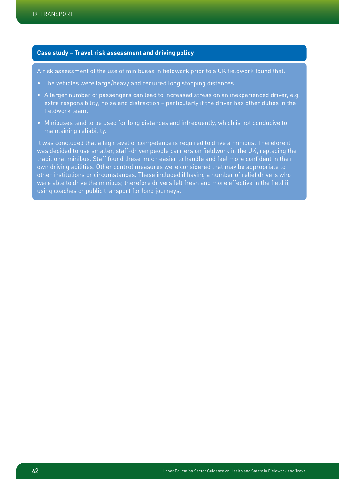## **Case study – Travel risk assessment and driving policy**

A risk assessment of the use of minibuses in fieldwork prior to a UK fieldwork found that:

- The vehicles were large/heavy and required long stopping distances.
- A larger number of passengers can lead to increased stress on an inexperienced driver, e.g. extra responsibility, noise and distraction – particularly if the driver has other duties in the fieldwork team.
- Minibuses tend to be used for long distances and infrequently, which is not conducive to maintaining reliability.

It was concluded that a high level of competence is required to drive a minibus. Therefore it was decided to use smaller, staff-driven people carriers on fieldwork in the UK, replacing the traditional minibus. Staff found these much easier to handle and feel more confident in their own driving abilities. Other control measures were considered that may be appropriate to other institutions or circumstances. These included i) having a number of relief drivers who were able to drive the minibus; therefore drivers felt fresh and more effective in the field ii) using coaches or public transport for long journeys.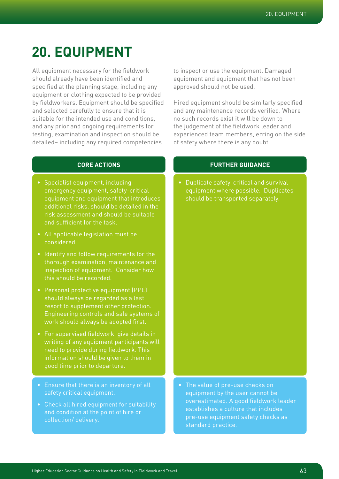# **20. Equipment**

All equipment necessary for the fieldwork should already have been identified and specified at the planning stage, including any equipment or clothing expected to be provided by fieldworkers. Equipment should be specified and selected carefully to ensure that it is suitable for the intended use and conditions, and any prior and ongoing requirements for testing, examination and inspection should be detailed– including any required competencies

to inspect or use the equipment. Damaged equipment and equipment that has not been approved should not be used.

Hired equipment should be similarly specified and any maintenance records verified. Where no such records exist it will be down to the judgement of the fieldwork leader and experienced team members, erring on the side of safety where there is any doubt.

## **CORE ACTIONS**

- Specialist equipment, including emergency equipment, safety-critical equipment and equipment that introduces additional risks, should be detailed in the risk assessment and should be suitable and sufficient for the task.
- All applicable legislation must be considered.
- Identify and follow requirements for the thorough examination, maintenance and inspection of equipment. Consider how this should be recorded.
- Personal protective equipment (PPE) should always be regarded as a last resort to supplement other protection. Engineering controls and safe systems of work should always be adopted first.
- For supervised fieldwork, give details in writing of any equipment participants will need to provide during fieldwork. This information should be given to them in good time prior to departure.
- Ensure that there is an inventory of all safety critical equipment.
- Check all hired equipment for suitability and condition at the point of hire or

## **FURTHER GUIDANCE**

• Duplicate safety-critical and survival equipment where possible. Duplicates should be transported separately.

• The value of pre-use checks on equipment by the user cannot be overestimated. A good fieldwork leader establishes a culture that includes pre-use equipment safety checks as standard practice.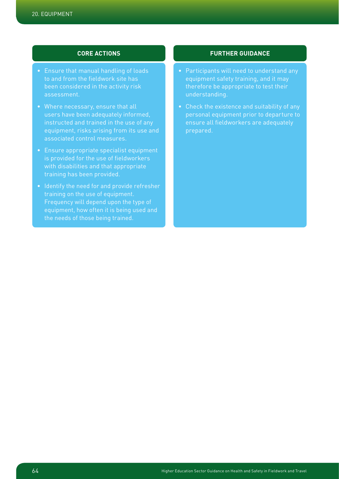## **CORE ACTIONS**

- Ensure that manual handling of loads to and from the fieldwork site has been considered in the activity risk assessment.
- Where necessary, ensure that all users have been adequately informed, instructed and trained in the use of any equipment, risks arising from its use and associated control measures.
- Ensure appropriate specialist equipment is provided for the use of fieldworkers with disabilities and that appropriate training has been provided.
- Identify the need for and provide refresher Frequency will depend upon the type of equipment, how often it is being used and

- equipment safety training, and it may therefore be appropriate to test their understanding.
- Check the existence and suitability of any personal equipment prior to departure to ensure all fieldworkers are adequately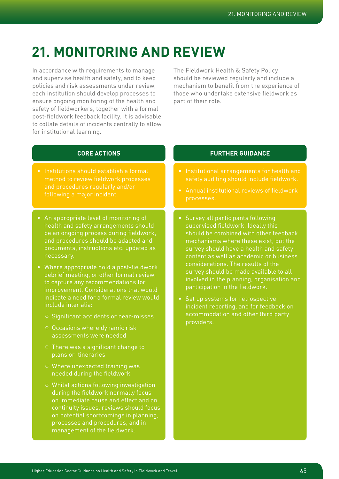# **21. Monitoring and review**

In accordance with requirements to manage and supervise health and safety, and to keep policies and risk assessments under review, each institution should develop processes to ensure ongoing monitoring of the health and safety of fieldworkers, together with a formal post-fieldwork feedback facility. It is advisable to collate details of incidents centrally to allow for institutional learning.

The Fieldwork Health & Safety Policy should be reviewed regularly and include a mechanism to benefit from the experience of those who undertake extensive fieldwork as part of their role.

## **CORE ACTIONS**

- Institutions should establish a formal method to review fieldwork processes and procedures regularly and/or following a major incident.
- An appropriate level of monitoring of health and safety arrangements should be an ongoing process during fieldwork, and procedures should be adapted and documents, instructions etc. updated as necessary.
- Where appropriate hold a post-fieldwork to capture any recommendations for improvement. Considerations that would indicate a need for a formal review would include inter alia:
	- ¡ Significant accidents or near-misses
	- ¡ Occasions where dynamic risk assessments were needed
	- ¡ There was a significant change to plans or itineraries
	- ¡ Where unexpected training was needed during the fieldwork
	- $\circ$  Whilst actions following investigation during the fieldwork normally focus on immediate cause and effect and on continuity issues, reviews should focus on potential shortcomings in planning, processes and procedures, and in management of the fieldwork.

- Institutional arrangements for health and safety auditing should include fieldwork.
- Annual institutional reviews of fieldwork processes.
- Survey all participants following supervised fieldwork. Ideally this should be combined with other feedback mechanisms where these exist, but the survey should have a health and safety content as well as academic or business considerations. The results of the survey should be made available to all involved in the planning, organisation and participation in the fieldwork.
- Set up systems for retrospective incident reporting, and for feedback on accommodation and other third party providers.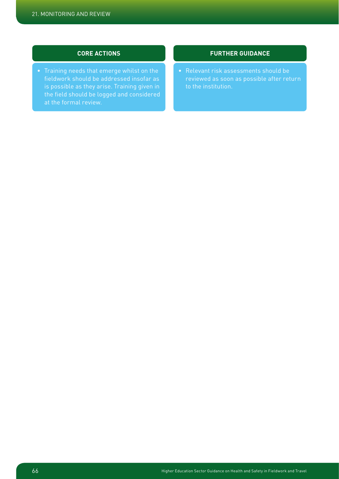## **CORE ACTIONS**

• Training needs that emerge whilst on the fieldwork should be addressed insofar as is possible as they arise. Training given in the field should be logged and considered

## **FURTHER GUIDANCE**

• Relevant risk assessments should be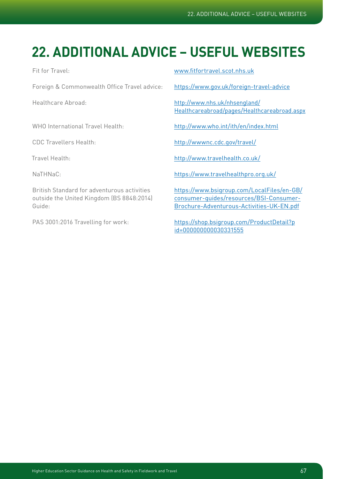# **22. Additional advice – useful websites**

Foreign & Commonwealth Office Travel advice: https://www.gov.uk/foreign-travel-advice

Fit for Travel: www.fitfortravel.scot.nhs.uk

Healthcare Abroad: http://www.nhs.uk/nhsengland/ Healthcareabroad/pages/Healthcareabroad.aspx

WHO International Travel Health: http://www.who.int/ith/en/index.html

CDC Travellers Health: http://wwwnc.cdc.gov/travel/

Travel Health: http://www.travelhealth.co.uk/

NaTHNaC: https://www.travelhealthpro.org.uk/

British Standard for adventurous activities https://www.bsigroup.com/LocalFiles/en-GB/ outside the United Kingdom (BS 8848:2014) consumer-guides/resources/BSI-Consumer-Guide: Brochure-Adventurous-Activities-UK-EN.pdf

PAS 3001:2016 Travelling for work: https://shop.bsigroup.com/ProductDetail?p id=000000000030331555